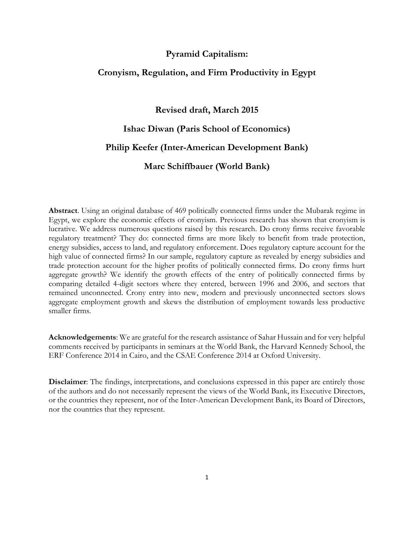## **Pyramid Capitalism:**

## **Cronyism, Regulation, and Firm Productivity in Egypt**

**Revised draft, March 2015**

# **Ishac Diwan (Paris School of Economics)**

# **Philip Keefer (Inter-American Development Bank)**

**Marc Schiffbauer (World Bank)**

**Abstract**. Using an original database of 469 politically connected firms under the Mubarak regime in Egypt, we explore the economic effects of cronyism. Previous research has shown that cronyism is lucrative. We address numerous questions raised by this research. Do crony firms receive favorable regulatory treatment? They do: connected firms are more likely to benefit from trade protection, energy subsidies, access to land, and regulatory enforcement. Does regulatory capture account for the high value of connected firms? In our sample, regulatory capture as revealed by energy subsidies and trade protection account for the higher profits of politically connected firms. Do crony firms hurt aggregate growth? We identify the growth effects of the entry of politically connected firms by comparing detailed 4-digit sectors where they entered, between 1996 and 2006, and sectors that remained unconnected. Crony entry into new, modern and previously unconnected sectors slows aggregate employment growth and skews the distribution of employment towards less productive smaller firms.

**Acknowledgements**: We are grateful for the research assistance of Sahar Hussain and for very helpful comments received by participants in seminars at the World Bank, the Harvard Kennedy School, the ERF Conference 2014 in Cairo, and the CSAE Conference 2014 at Oxford University.

**Disclaimer**: The findings, interpretations, and conclusions expressed in this paper are entirely those of the authors and do not necessarily represent the views of the World Bank, its Executive Directors, or the countries they represent, nor of the Inter-American Development Bank, its Board of Directors, nor the countries that they represent.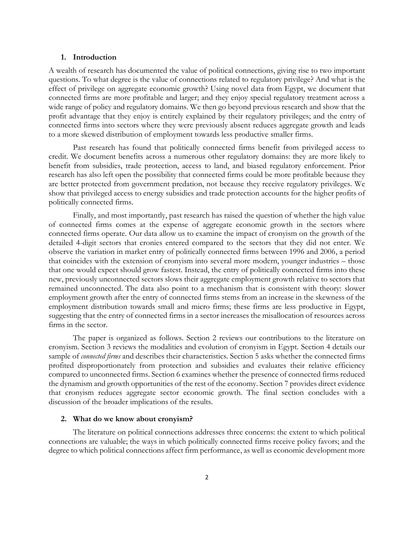#### **1. Introduction**

A wealth of research has documented the value of political connections, giving rise to two important questions. To what degree is the value of connections related to regulatory privilege? And what is the effect of privilege on aggregate economic growth? Using novel data from Egypt, we document that connected firms are more profitable and larger; and they enjoy special regulatory treatment across a wide range of policy and regulatory domains. We then go beyond previous research and show that the profit advantage that they enjoy is entirely explained by their regulatory privileges; and the entry of connected firms into sectors where they were previously absent reduces aggregate growth and leads to a more skewed distribution of employment towards less productive smaller firms.

Past research has found that politically connected firms benefit from privileged access to credit. We document benefits across a numerous other regulatory domains: they are more likely to benefit from subsidies, trade protection, access to land, and biased regulatory enforcement. Prior research has also left open the possibility that connected firms could be more profitable because they are better protected from government predation, not because they receive regulatory privileges. We show that privileged access to energy subsidies and trade protection accounts for the higher profits of politically connected firms.

Finally, and most importantly, past research has raised the question of whether the high value of connected firms comes at the expense of aggregate economic growth in the sectors where connected firms operate. Our data allow us to examine the impact of cronyism on the growth of the detailed 4-digit sectors that cronies entered compared to the sectors that they did not enter. We observe the variation in market entry of politically connected firms between 1996 and 2006, a period that coincides with the extension of cronyism into several more modern, younger industries – those that one would expect should grow fastest. Instead, the entry of politically connected firms into these new, previously unconnected sectors slows their aggregate employment growth relative to sectors that remained unconnected. The data also point to a mechanism that is consistent with theory: slower employment growth after the entry of connected firms stems from an increase in the skewness of the employment distribution towards small and micro firms; these firms are less productive in Egypt, suggesting that the entry of connected firms in a sector increases the misallocation of resources across firms in the sector.

The paper is organized as follows. Section 2 reviews our contributions to the literature on cronyism. Section 3 reviews the modalities and evolution of cronyism in Egypt. Section 4 details our sample of *connected firms* and describes their characteristics. Section 5 asks whether the connected firms profited disproportionately from protection and subsidies and evaluates their relative efficiency compared to unconnected firms. Section 6 examines whether the presence of connected firms reduced the dynamism and growth opportunities of the rest of the economy. Section 7 provides direct evidence that cronyism reduces aggregate sector economic growth. The final section concludes with a discussion of the broader implications of the results.

#### **2. What do we know about cronyism?**

The literature on political connections addresses three concerns: the extent to which political connections are valuable; the ways in which politically connected firms receive policy favors; and the degree to which political connections affect firm performance, as well as economic development more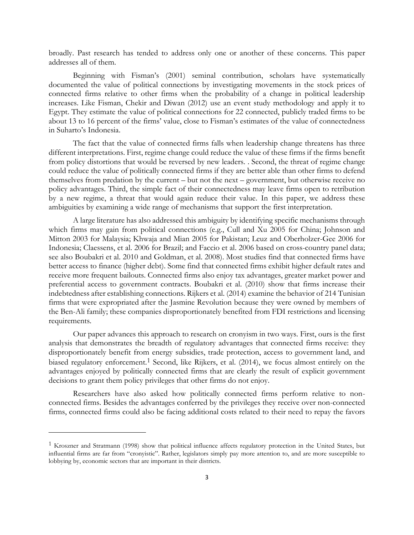broadly. Past research has tended to address only one or another of these concerns. This paper addresses all of them.

Beginning with Fisman's (2001) seminal contribution, scholars have systematically documented the value of political connections by investigating movements in the stock prices of connected firms relative to other firms when the probability of a change in political leadership increases. Like Fisman, Chekir and Diwan (2012) use an event study methodology and apply it to Egypt. They estimate the value of political connections for 22 connected, publicly traded firms to be about 13 to 16 percent of the firms' value, close to Fisman's estimates of the value of connectedness in Suharto's Indonesia.

The fact that the value of connected firms falls when leadership change threatens has three different interpretations. First, regime change could reduce the value of these firms if the firms benefit from policy distortions that would be reversed by new leaders. . Second, the threat of regime change could reduce the value of politically connected firms if they are better able than other firms to defend themselves from predation by the current – but not the next – government, but otherwise receive no policy advantages. Third, the simple fact of their connectedness may leave firms open to retribution by a new regime, a threat that would again reduce their value. In this paper, we address these ambiguities by examining a wide range of mechanisms that support the first interpretation.

A large literature has also addressed this ambiguity by identifying specific mechanisms through which firms may gain from political connections (e.g., Cull and Xu 2005 for China; Johnson and Mitton 2003 for Malaysia; Khwaja and Mian 2005 for Pakistan; Leuz and Oberholzer-Gee 2006 for Indonesia; Claessens, et al. 2006 for Brazil; and Faccio et al. 2006 based on cross-country panel data; see also Boubakri et al. 2010 and Goldman, et al. 2008). Most studies find that connected firms have better access to finance (higher debt). Some find that connected firms exhibit higher default rates and receive more frequent bailouts. Connected firms also enjoy tax advantages, greater market power and preferential access to government contracts. Boubakri et al. (2010) show that firms increase their indebtedness after establishing connections. Rijkers et al. (2014) examine the behavior of 214 Tunisian firms that were expropriated after the Jasmine Revolution because they were owned by members of the Ben-Ali family; these companies disproportionately benefited from FDI restrictions and licensing requirements.

Our paper advances this approach to research on cronyism in two ways. First, ours is the first analysis that demonstrates the breadth of regulatory advantages that connected firms receive: they disproportionately benefit from energy subsidies, trade protection, access to government land, and biased regulatory enforcement.<sup>1</sup> Second, like Rijkers, et al. (2014), we focus almost entirely on the advantages enjoyed by politically connected firms that are clearly the result of explicit government decisions to grant them policy privileges that other firms do not enjoy.

Researchers have also asked how politically connected firms perform relative to nonconnected firms. Besides the advantages conferred by the privileges they receive over non-connected firms, connected firms could also be facing additional costs related to their need to repay the favors

<sup>&</sup>lt;sup>1</sup> Kroszner and Stratmann (1998) show that political influence affects regulatory protection in the United States, but influential firms are far from "cronyistic". Rather, legislators simply pay more attention to, and are more susceptible to lobbying by, economic sectors that are important in their districts.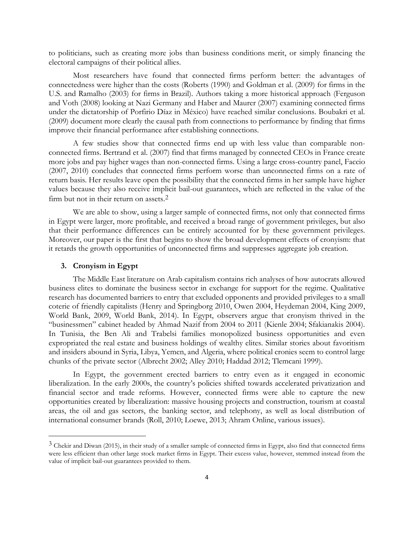to politicians, such as creating more jobs than business conditions merit, or simply financing the electoral campaigns of their political allies.

Most researchers have found that connected firms perform better: the advantages of connectedness were higher than the costs (Roberts (1990) and Goldman et al. (2009) for firms in the U.S. and Ramalho (2003) for firms in Brazil). Authors taking a more historical approach (Ferguson and Voth (2008) looking at Nazi Germany and Haber and Maurer (2007) examining connected firms under the dictatorship of Porfirio Díaz in México) have reached similar conclusions. Boubakri et al. (2009) document more clearly the causal path from connections to performance by finding that firms improve their financial performance after establishing connections.

A few studies show that connected firms end up with less value than comparable nonconnected firms. Bertrand et al. (2007) find that firms managed by connected CEOs in France create more jobs and pay higher wages than non-connected firms. Using a large cross-country panel, Faccio (2007, 2010) concludes that connected firms perform worse than unconnected firms on a rate of return basis. Her results leave open the possibility that the connected firms in her sample have higher values because they also receive implicit bail-out guarantees, which are reflected in the value of the firm but not in their return on assets. 2

We are able to show, using a larger sample of connected firms, not only that connected firms in Egypt were larger, more profitable, and received a broad range of government privileges, but also that their performance differences can be entirely accounted for by these government privileges. Moreover, our paper is the first that begins to show the broad development effects of cronyism: that it retards the growth opportunities of unconnected firms and suppresses aggregate job creation.

#### **3. Cronyism in Egypt**

 $\overline{a}$ 

The Middle East literature on Arab capitalism contains rich analyses of how autocrats allowed business elites to dominate the business sector in exchange for support for the regime. Qualitative research has documented barriers to entry that excluded opponents and provided privileges to a small coterie of friendly capitalists (Henry and Springborg 2010, Owen 2004, Heydeman 2004, King 2009, World Bank, 2009, World Bank, 2014). In Egypt, observers argue that cronyism thrived in the "businessmen" cabinet headed by Ahmad Nazif from 2004 to 2011 (Kienle 2004; Sfakianakis 2004). In Tunisia, the Ben Ali and Trabelsi families monopolized business opportunities and even expropriated the real estate and business holdings of wealthy elites. Similar stories about favoritism and insiders abound in Syria, Libya, Yemen, and Algeria, where political cronies seem to control large chunks of the private sector (Albrecht 2002; Alley 2010; Haddad 2012; Tlemcani 1999).

In Egypt, the government erected barriers to entry even as it engaged in economic liberalization. In the early 2000s, the country's policies shifted towards accelerated privatization and financial sector and trade reforms. However, connected firms were able to capture the new opportunities created by liberalization: massive housing projects and construction, tourism at coastal areas, the oil and gas sectors, the banking sector, and telephony, as well as local distribution of international consumer brands (Roll, 2010; Loewe, 2013; Ahram Online, various issues).

<sup>3</sup> Chekir and Diwan (2015), in their study of a smaller sample of connected firms in Egypt, also find that connected firms were less efficient than other large stock market firms in Egypt. Their excess value, however, stemmed instead from the value of implicit bail-out guarantees provided to them.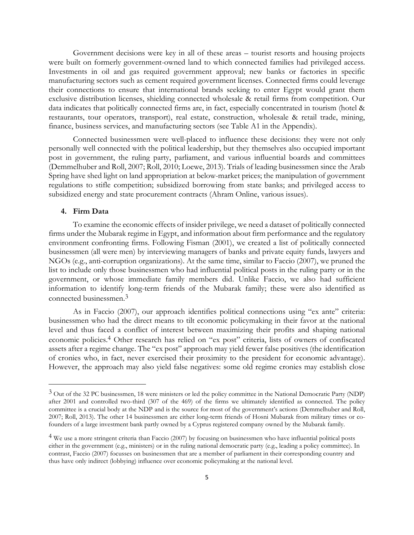Government decisions were key in all of these areas – tourist resorts and housing projects were built on formerly government-owned land to which connected families had privileged access. Investments in oil and gas required government approval; new banks or factories in specific manufacturing sectors such as cement required government licenses. Connected firms could leverage their connections to ensure that international brands seeking to enter Egypt would grant them exclusive distribution licenses, shielding connected wholesale & retail firms from competition. Our data indicates that politically connected firms are, in fact, especially concentrated in tourism (hotel & restaurants, tour operators, transport), real estate, construction, wholesale & retail trade, mining, finance, business services, and manufacturing sectors (see Table A1 in the Appendix).

Connected businessmen were well-placed to influence these decisions: they were not only personally well connected with the political leadership, but they themselves also occupied important post in government, the ruling party, parliament, and various influential boards and committees (Demmelhuber and Roll, 2007; Roll, 2010; Loewe, 2013). Trials of leading businessmen since the Arab Spring have shed light on land appropriation at below-market prices; the manipulation of government regulations to stifle competition; subsidized borrowing from state banks; and privileged access to subsidized energy and state procurement contracts (Ahram Online, various issues).

## **4. Firm Data**

 $\overline{a}$ 

To examine the economic effects of insider privilege, we need a dataset of politically connected firms under the Mubarak regime in Egypt, and information about firm performance and the regulatory environment confronting firms. Following Fisman (2001), we created a list of politically connected businessmen (all were men) by interviewing managers of banks and private equity funds, lawyers and NGOs (e.g., anti-corruption organizations). At the same time, similar to Faccio (2007), we pruned the list to include only those businessmen who had influential political posts in the ruling party or in the government, or whose immediate family members did. Unlike Faccio, we also had sufficient information to identify long-term friends of the Mubarak family; these were also identified as connected businessmen. 3

As in Faccio (2007), our approach identifies political connections using "ex ante" criteria: businessmen who had the direct means to tilt economic policymaking in their favor at the national level and thus faced a conflict of interest between maximizing their profits and shaping national economic policies.4 Other research has relied on "ex post" criteria, lists of owners of confiscated assets after a regime change. The "ex post" approach may yield fewer false positives (the identification of cronies who, in fact, never exercised their proximity to the president for economic advantage). However, the approach may also yield false negatives: some old regime cronies may establish close

<sup>3</sup> Out of the 32 PC businessmen, 18 were ministers or led the policy committee in the National Democratic Party (NDP) after 2001 and controlled two-third (307 of the 469) of the firms we ultimately identified as connected. The policy committee is a crucial body at the NDP and is the source for most of the government's actions (Demmelhuber and Roll, 2007; Roll, 2013). The other 14 businessmen are either long-term friends of Hosni Mubarak from military times or cofounders of a large investment bank partly owned by a Cyprus registered company owned by the Mubarak family.

<sup>4</sup> We use a more stringent criteria than Faccio (2007) by focusing on businessmen who have influential political posts either in the government (e.g., ministers) or in the ruling national democratic party (e.g., leading a policy committee). In contrast, Faccio (2007) focusses on businessmen that are a member of parliament in their corresponding country and thus have only indirect (lobbying) influence over economic policymaking at the national level.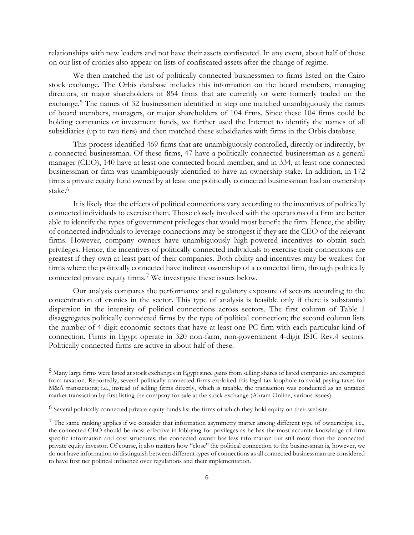relationships with new leaders and not have their assets confiscated. In any event, about half of those on our list of cronies also appear on lists of confiscated assets after the change of regime.

We then matched the list of politically connected businessmen to firms listed on the Cairo stock exchange. The Orbis database includes this information on the board members, managing directors, or major shareholders of 854 firms that are currently or were formerly traded on the exchange.<sup>5</sup> The names of 32 businessmen identified in step one matched unambiguously the names of board members, managers, or major shareholders of 104 firms. Since these 104 firms could be holding companies or investment funds, we further used the Internet to identify the names of all subsidiaries (up to two tiers) and then matched these subsidiaries with firms in the Orbis database.

This process identified 469 firms that are unambiguously controlled, directly or indirectly, by a connected businessman. Of these firms, 47 have a politically connected businessman as a general manager (CEO), 140 have at least one connected board member, and in 334, at least one connected businessman or firm was unambiguously identified to have an ownership stake. In addition, in 172 firms a private equity fund owned by at least one politically connected businessman had an ownership stake.6

It is likely that the effects of political connections vary according to the incentives of politically connected individuals to exercise them. Those closely involved with the operations of a firm are better able to identify the types of government privileges that would most benefit the firm. Hence, the ability of connected individuals to leverage connections may be strongest if they are the CEO of the relevant firms. However, company owners have unambiguously high-powered incentives to obtain such privileges. Hence, the incentives of politically connected individuals to exercise their connections are greatest if they own at least part of their companies. Both ability and incentives may be weakest for firms where the politically connected have indirect ownership of a connected firm, through politically connected private equity firms.7 We investigate these issues below.

Our analysis compares the performance and regulatory exposure of sectors according to the concentration of cronies in the sector. This type of analysis is feasible only if there is substantial dispersion in the intensity of political connections across sectors. The first column of [Table 1](#page-6-0) disaggregates politically connected firms by the type of political connection; the second column lists the number of 4-digit economic sectors that have at least one PC firm with each particular kind of connection. Firms in Egypt operate in 320 non-farm, non-government 4-digit ISIC Rev.4 sectors. Politically connected firms are active in about half of these.

<sup>5</sup> Many large firms were listed at stock exchanges in Egypt since gains from selling shares of listed companies are exempted from taxation. Reportedly, several politically connected firms exploited this legal tax loophole to avoid paying taxes for M&A transactions; i.e., instead of selling firms directly, which is taxable, the transaction was conducted as an untaxed market transaction by first listing the company for sale at the stock exchange (Ahram Online, various issues).

<sup>6</sup> Several politically connected private equity funds list the firms of which they hold equity on their website.

<sup>&</sup>lt;sup>7</sup> The same ranking applies if we consider that information asymmetry matter among different type of ownerships; i.e., the connected CEO should be most effective in lobbying for privileges as he has the most accurate knowledge of firm specific information and cost structures; the connected owner has less information but still more than the connected private equity investor. Of course, it also matters how "close" the political connection to the businessman is, however, we do not have information to distinguish between different types of connections as all connected businessman are considered to have first tier political influence over regulations and their implementation.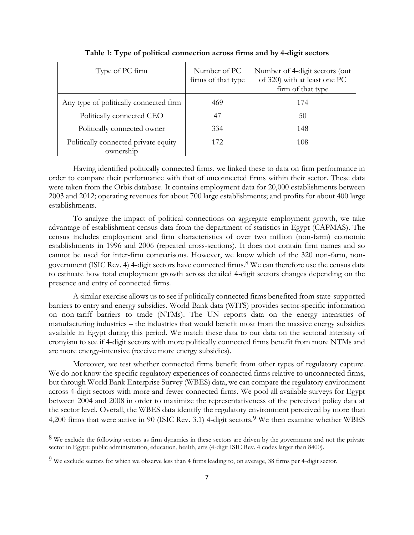<span id="page-6-0"></span>

| Type of PC firm                                   | Number of PC<br>firms of that type | Number of 4-digit sectors (out)<br>of 320) with at least one PC<br>firm of that type |
|---------------------------------------------------|------------------------------------|--------------------------------------------------------------------------------------|
| Any type of politically connected firm            | 469                                | 174                                                                                  |
| Politically connected CEO                         | 47                                 | 50                                                                                   |
| Politically connected owner                       | 334                                | 148                                                                                  |
| Politically connected private equity<br>ownership | 172                                | 108                                                                                  |

**Table 1: Type of political connection across firms and by 4-digit sectors**

Having identified politically connected firms, we linked these to data on firm performance in order to compare their performance with that of unconnected firms within their sector. These data were taken from the Orbis database. It contains employment data for 20,000 establishments between 2003 and 2012; operating revenues for about 700 large establishments; and profits for about 400 large establishments.

To analyze the impact of political connections on aggregate employment growth, we take advantage of establishment census data from the department of statistics in Egypt (CAPMAS). The census includes employment and firm characteristics of over two million (non-farm) economic establishments in 1996 and 2006 (repeated cross-sections). It does not contain firm names and so cannot be used for inter-firm comparisons. However, we know which of the 320 non-farm, nongovernment (ISIC Rev. 4) 4-digit sectors have connected firms.8 We can therefore use the census data to estimate how total employment growth across detailed 4-digit sectors changes depending on the presence and entry of connected firms.

A similar exercise allows us to see if politically connected firms benefited from state-supported barriers to entry and energy subsidies. World Bank data (WITS) provides sector-specific information on non-tariff barriers to trade (NTMs). The UN reports data on the energy intensities of manufacturing industries – the industries that would benefit most from the massive energy subsidies available in Egypt during this period. We match these data to our data on the sectoral intensity of cronyism to see if 4-digit sectors with more politically connected firms benefit from more NTMs and are more energy-intensive (receive more energy subsidies).

Moreover, we test whether connected firms benefit from other types of regulatory capture. We do not know the specific regulatory experiences of connected firms relative to unconnected firms, but through World Bank Enterprise Survey (WBES) data, we can compare the regulatory environment across 4-digit sectors with more and fewer connected firms. We pool all available surveys for Egypt between 2004 and 2008 in order to maximize the representativeness of the perceived policy data at the sector level. Overall, the WBES data identify the regulatory environment perceived by more than 4,200 firms that were active in 90 (ISIC Rev. 3.1) 4-digit sectors.<sup>9</sup> We then examine whether WBES

<sup>&</sup>lt;sup>8</sup> We exclude the following sectors as firm dynamics in these sectors are driven by the government and not the private sector in Egypt: public administration, education, health, arts (4-digit ISIC Rev. 4 codes larger than 8400).

 $9$  We exclude sectors for which we observe less than 4 firms leading to, on average, 38 firms per 4-digit sector.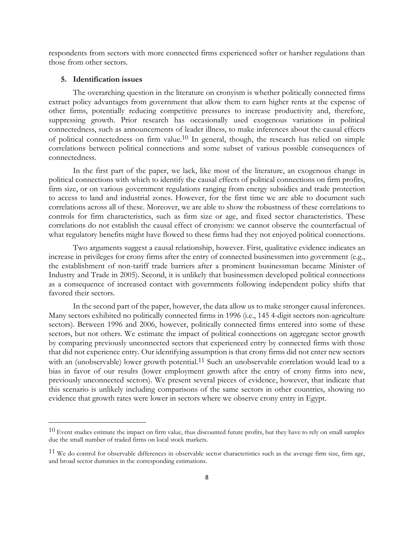respondents from sectors with more connected firms experienced softer or harsher regulations than those from other sectors.

#### **5. Identification issues**

 $\overline{a}$ 

The overarching question in the literature on cronyism is whether politically connected firms extract policy advantages from government that allow them to earn higher rents at the expense of other firms, potentially reducing competitive pressures to increase productivity and, therefore, suppressing growth. Prior research has occasionally used exogenous variations in political connectedness, such as announcements of leader illness, to make inferences about the causal effects of political connectedness on firm value.10 In general, though, the research has relied on simple correlations between political connections and some subset of various possible consequences of connectedness.

In the first part of the paper, we lack, like most of the literature, an exogenous change in political connections with which to identify the causal effects of political connections on firm profits, firm size, or on various government regulations ranging from energy subsidies and trade protection to access to land and industrial zones. However, for the first time we are able to document such correlations across all of these. Moreover, we are able to show the robustness of these correlations to controls for firm characteristics, such as firm size or age, and fixed sector characteristics. These correlations do not establish the causal effect of cronyism: we cannot observe the counterfactual of what regulatory benefits might have flowed to these firms had they not enjoyed political connections.

Two arguments suggest a causal relationship, however. First, qualitative evidence indicates an increase in privileges for crony firms after the entry of connected businessmen into government (e.g., the establishment of non-tariff trade barriers after a prominent businessman became Minister of Industry and Trade in 2005). Second, it is unlikely that businessmen developed political connections as a consequence of increased contact with governments following independent policy shifts that favored their sectors.

In the second part of the paper, however, the data allow us to make stronger causal inferences. Many sectors exhibited no politically connected firms in 1996 (i.e., 145 4-digit sectors non-agriculture sectors). Between 1996 and 2006, however, politically connected firms entered into some of these sectors, but not others. We estimate the impact of political connections on aggregate sector growth by comparing previously unconnected sectors that experienced entry by connected firms with those that did not experience entry. Our identifying assumption is that crony firms did not enter new sectors with an (unobservable) lower growth potential.<sup>11</sup> Such an unobservable correlation would lead to a bias in favor of our results (lower employment growth after the entry of crony firms into new, previously unconnected sectors). We present several pieces of evidence, however, that indicate that this scenario is unlikely including comparisons of the same sectors in other countries, showing no evidence that growth rates were lower in sectors where we observe crony entry in Egypt.

 $10$  Event studies estimate the impact on firm value, thus discounted future profits, but they have to rely on small samples due the small number of traded firms on local stock markets.

 $11$  We do control for observable differences in observable sector characteristics such as the average firm size, firm age, and broad sector dummies in the corresponding estimations.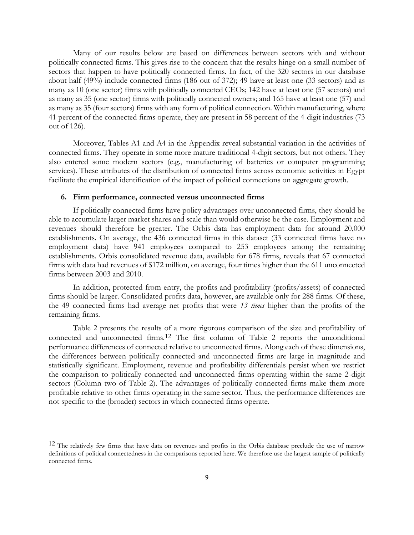Many of our results below are based on differences between sectors with and without politically connected firms. This gives rise to the concern that the results hinge on a small number of sectors that happen to have politically connected firms. In fact, of the 320 sectors in our database about half (49%) include connected firms (186 out of 372); 49 have at least one (33 sectors) and as many as 10 (one sector) firms with politically connected CEOs; 142 have at least one (57 sectors) and as many as 35 (one sector) firms with politically connected owners; and 165 have at least one (57) and as many as 35 (four sectors) firms with any form of political connection. Within manufacturing, where 41 percent of the connected firms operate, they are present in 58 percent of the 4-digit industries (73 out of 126).

Moreover, Tables A1 and A4 in the Appendix reveal substantial variation in the activities of connected firms. They operate in some more mature traditional 4-digit sectors, but not others. They also entered some modern sectors (e.g., manufacturing of batteries or computer programming services). These attributes of the distribution of connected firms across economic activities in Egypt facilitate the empirical identification of the impact of political connections on aggregate growth.

## **6. Firm performance, connected versus unconnected firms**

 $\overline{a}$ 

If politically connected firms have policy advantages over unconnected firms, they should be able to accumulate larger market shares and scale than would otherwise be the case. Employment and revenues should therefore be greater. The Orbis data has employment data for around 20,000 establishments. On average, the 436 connected firms in this dataset (33 connected firms have no employment data) have 941 employees compared to 253 employees among the remaining establishments. Orbis consolidated revenue data, available for 678 firms, reveals that 67 connected firms with data had revenues of \$172 million, on average, four times higher than the 611 unconnected firms between 2003 and 2010.

In addition, protected from entry, the profits and profitability (profits/assets) of connected firms should be larger. Consolidated profits data, however, are available only for 288 firms. Of these, the 49 connected firms had average net profits that were *13 times* higher than the profits of the remaining firms.

Table 2 presents the results of a more rigorous comparison of the size and profitability of connected and unconnected firms.12 The first column of Table 2 reports the unconditional performance differences of connected relative to unconnected firms. Along each of these dimensions, the differences between politically connected and unconnected firms are large in magnitude and statistically significant. Employment, revenue and profitability differentials persist when we restrict the comparison to politically connected and unconnected firms operating within the same 2-digit sectors (Column two of Table 2). The advantages of politically connected firms make them more profitable relative to other firms operating in the same sector. Thus, the performance differences are not specific to the (broader) sectors in which connected firms operate.

<sup>&</sup>lt;sup>12</sup> The relatively few firms that have data on revenues and profits in the Orbis database preclude the use of narrow definitions of political connectedness in the comparisons reported here. We therefore use the largest sample of politically connected firms.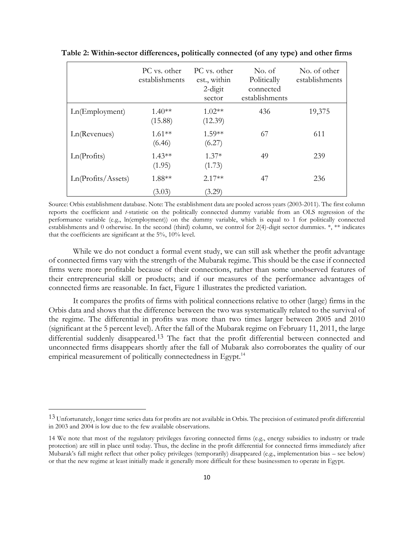|                    | PC vs. other<br>establishments | PC vs. other<br>est., within<br>$2$ -digit<br>sector | No. of<br>Politically<br>connected<br>establishments | No. of other<br>establishments |
|--------------------|--------------------------------|------------------------------------------------------|------------------------------------------------------|--------------------------------|
| Ln(Employment)     | $1.40**$<br>(15.88)            | $1.02**$<br>(12.39)                                  | 436                                                  | 19,375                         |
| Ln(Revenues)       | $1.61**$<br>(6.46)             | $1.59**$<br>(6.27)                                   | 67                                                   | 611                            |
| Ln(Profits)        | $1.43**$<br>(1.95)             | $1.37*$<br>(1.73)                                    | 49                                                   | 239                            |
| Ln(Protits/Assets) | 1.88**                         | $2.17**$                                             | 47                                                   | 236                            |
|                    | (3.03)                         | (3.29)                                               |                                                      |                                |

**Table 2: Within-sector differences, politically connected (of any type) and other firms**

Source: Orbis establishment database. Note: The establishment data are pooled across years (2003-2011). The first column reports the coefficient and *t*-statistic on the politically connected dummy variable from an OLS regression of the performance variable (e.g., ln(employment)) on the dummy variable, which is equal to 1 for politically connected establishments and 0 otherwise. In the second (third) column, we control for 2(4)-digit sector dummies. \*, \*\* indicates that the coefficients are significant at the 5%, 10% level.

While we do not conduct a formal event study, we can still ask whether the profit advantage of connected firms vary with the strength of the Mubarak regime. This should be the case if connected firms were more profitable because of their connections, rather than some unobserved features of their entrepreneurial skill or products; and if our measures of the performance advantages of connected firms are reasonable. In fact, Figure 1 illustrates the predicted variation.

It compares the profits of firms with political connections relative to other (large) firms in the Orbis data and shows that the difference between the two was systematically related to the survival of the regime. The differential in profits was more than two times larger between 2005 and 2010 (significant at the 5 percent level). After the fall of the Mubarak regime on February 11, 2011, the large differential suddenly disappeared. 13 The fact that the profit differential between connected and unconnected firms disappears shortly after the fall of Mubarak also corroborates the quality of our empirical measurement of politically connectedness in Egypt.<sup>14</sup>

<sup>13</sup> Unfortunately, longer time series data for profits are not available in Orbis. The precision of estimated profit differential in 2003 and 2004 is low due to the few available observations.

<sup>14</sup> We note that most of the regulatory privileges favoring connected firms (e.g., energy subsidies to industry or trade protection) are still in place until today. Thus, the decline in the profit differential for connected firms immediately after Mubarak's fall might reflect that other policy privileges (temporarily) disappeared (e.g., implementation bias – see below) or that the new regime at least initially made it generally more difficult for these businessmen to operate in Egypt.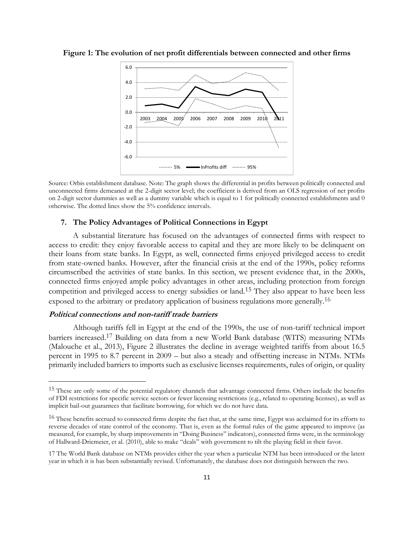

**Figure 1: The evolution of net profit differentials between connected and other firms**

Source: Orbis establishment database. Note: The graph shows the differential in profits between politically connected and unconnected firms demeaned at the 2-digit sector level; the coefficient is derived from an OLS regression of net profits on 2-digit sector dummies as well as a dummy variable which is equal to 1 for politically connected establishments and 0 otherwise. The dotted lines show the 5% confidence intervals.

#### **7. The Policy Advantages of Political Connections in Egypt**

A substantial literature has focused on the advantages of connected firms with respect to access to credit: they enjoy favorable access to capital and they are more likely to be delinquent on their loans from state banks. In Egypt, as well, connected firms enjoyed privileged access to credit from state-owned banks. However, after the financial crisis at the end of the 1990s, policy reforms circumscribed the activities of state banks. In this section, we present evidence that, in the 2000s, connected firms enjoyed ample policy advantages in other areas, including protection from foreign competition and privileged access to energy subsidies or land. 15 They also appear to have been less exposed to the arbitrary or predatory application of business regulations more generally.<sup>16</sup>

#### **Political connections and non-tariff trade barriers**

 $\overline{a}$ 

Although tariffs fell in Egypt at the end of the 1990s, the use of non-tariff technical import barriers increased. 17 Building on data from a new World Bank database (WITS) measuring NTMs (Malouche et al., 2013), Figure 2 illustrates the decline in average weighted tariffs from about 16.5 percent in 1995 to 8.7 percent in 2009 – but also a steady and offsetting increase in NTMs. NTMs primarily included barriers to imports such as exclusive licenses requirements, rules of origin, or quality

<sup>&</sup>lt;sup>15</sup> These are only some of the potential regulatory channels that advantage connected firms. Others include the benefits of FDI restrictions for specific service sectors or fewer licensing restrictions (e.g., related to operating licenses), as well as implicit bail-out guarantees that facilitate borrowing, for which we do not have data.

<sup>&</sup>lt;sup>16</sup> These benefits accrued to connected firms despite the fact that, at the same time, Egypt was acclaimed for its efforts to reverse decades of state control of the economy. That is, even as the formal rules of the game appeared to improve (as measured, for example, by sharp improvements in "Doing Business" indicators), connected firms were, in the terminology of Hallward-Driemeier, et al. (2010), able to make "deals" with government to tilt the playing field in their favor.

<sup>17</sup> The World Bank database on NTMs provides either the year when a particular NTM has been introduced or the latest year in which it is has been substantially revised. Unfortunately, the database does not distinguish between the two.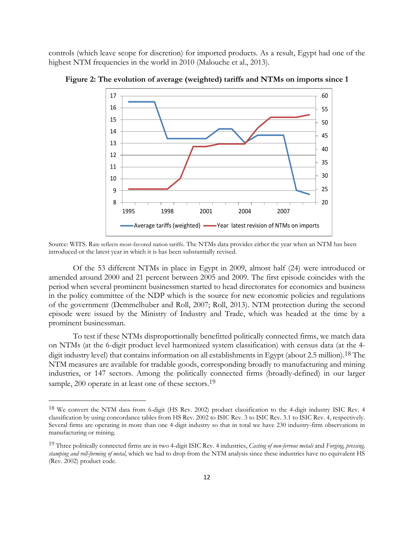controls (which leave scope for discretion) for imported products. As a result, Egypt had one of the highest NTM frequencies in the world in 2010 (Malouche et al., 2013).



**Figure 2: The evolution of average (weighted) tariffs and NTMs on imports since 1**

Source: WITS. Rate reflects most-favored nation tariffs. The NTMs data provides either the year when an NTM has been introduced or the latest year in which it is has been substantially revised.

Of the 53 different NTMs in place in Egypt in 2009, almost half (24) were introduced or amended around 2000 and 21 percent between 2005 and 2009. The first episode coincides with the period when several prominent businessmen started to head directorates for economics and business in the policy committee of the NDP which is the source for new economic policies and regulations of the government (Demmelhuber and Roll, 2007; Roll, 2013). NTM protection during the second episode were issued by the Ministry of Industry and Trade, which was headed at the time by a prominent businessman.

To test if these NTMs disproportionally benefitted politically connected firms, we match data on NTMs (at the 6-digit product level harmonized system classification) with census data (at the 4 digit industry level) that contains information on all establishments in Egypt (about 2.5 million). 18 The NTM measures are available for tradable goods, corresponding broadly to manufacturing and mining industries, or 147 sectors. Among the politically connected firms (broadly-defined) in our larger sample, 200 operate in at least one of these sectors.<sup>19</sup>

<sup>&</sup>lt;sup>18</sup> We convert the NTM data from 6-digit (HS Rev. 2002) product classification to the 4-digit industry ISIC Rev. 4 classification by using concordance tables from HS Rev. 2002 to ISIC Rev. 3 to ISIC Rev. 3.1 to ISIC Rev. 4, respectively. Several firms are operating in more than one 4-digit industry so that in total we have 230 industry-firm observations in manufacturing or mining.

<sup>19</sup> Three politically connected firms are in two 4-digit ISIC Rev. 4 industries, *Casting of non-ferrous metals* and *Forging, pressing, stamping and roll-forming of metal*, which we had to drop from the NTM analysis since these industries have no equivalent HS (Rev. 2002) product code.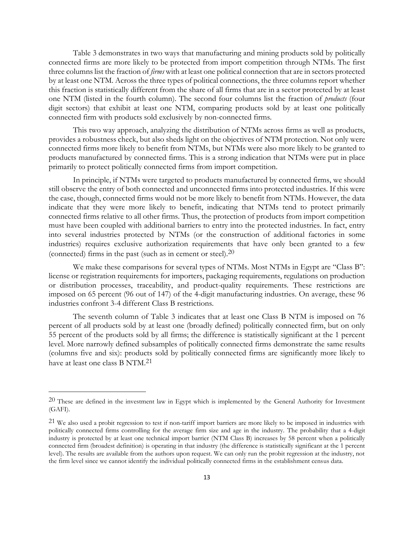Table 3 demonstrates in two ways that manufacturing and mining products sold by politically connected firms are more likely to be protected from import competition through NTMs. The first three columns list the fraction of *firms* with at least one political connection that are in sectors protected by at least one NTM. Across the three types of political connections, the three columns report whether this fraction is statistically different from the share of all firms that are in a sector protected by at least one NTM (listed in the fourth column). The second four columns list the fraction of *products* (four digit sectors) that exhibit at least one NTM, comparing products sold by at least one politically connected firm with products sold exclusively by non-connected firms.

This two way approach, analyzing the distribution of NTMs across firms as well as products, provides a robustness check, but also sheds light on the objectives of NTM protection. Not only were connected firms more likely to benefit from NTMs, but NTMs were also more likely to be granted to products manufactured by connected firms. This is a strong indication that NTMs were put in place primarily to protect politically connected firms from import competition.

In principle, if NTMs were targeted to products manufactured by connected firms, we should still observe the entry of both connected and unconnected firms into protected industries. If this were the case, though, connected firms would not be more likely to benefit from NTMs. However, the data indicate that they were more likely to benefit, indicating that NTMs tend to protect primarily connected firms relative to all other firms. Thus, the protection of products from import competition must have been coupled with additional barriers to entry into the protected industries. In fact, entry into several industries protected by NTMs (or the construction of additional factories in some industries) requires exclusive authorization requirements that have only been granted to a few (connected) firms in the past (such as in cement or steel).20

We make these comparisons for several types of NTMs. Most NTMs in Egypt are "Class B": license or registration requirements for importers, packaging requirements, regulations on production or distribution processes, traceability, and product-quality requirements. These restrictions are imposed on 65 percent (96 out of 147) of the 4-digit manufacturing industries. On average, these 96 industries confront 3-4 different Class B restrictions.

The seventh column of Table 3 indicates that at least one Class B NTM is imposed on 76 percent of all products sold by at least one (broadly defined) politically connected firm, but on only 55 percent of the products sold by all firms; the difference is statistically significant at the 1 percent level. More narrowly defined subsamples of politically connected firms demonstrate the same results (columns five and six): products sold by politically connected firms are significantly more likely to have at least one class B NTM. 21

 $20$  These are defined in the investment law in Egypt which is implemented by the General Authority for Investment (GAFI).

<sup>21</sup> We also used a probit regression to test if non-tariff import barriers are more likely to be imposed in industries with politically connected firms controlling for the average firm size and age in the industry. The probability that a 4-digit industry is protected by at least one technical import barrier (NTM Class B) increases by 58 percent when a politically connected firm (broadest definition) is operating in that industry (the difference is statistically significant at the 1 percent level). The results are available from the authors upon request. We can only run the probit regression at the industry, not the firm level since we cannot identify the individual politically connected firms in the establishment census data.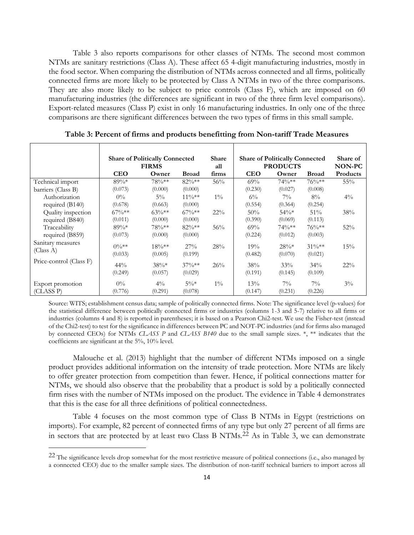Table 3 also reports comparisons for other classes of NTMs. The second most common NTMs are sanitary restrictions (Class A). These affect 65 4-digit manufacturing industries, mostly in the food sector. When comparing the distribution of NTMs across connected and all firms, politically connected firms are more likely to be protected by Class A NTMs in two of the three comparisons. They are also more likely to be subject to price controls (Class F), which are imposed on 60 manufacturing industries (the differences are significant in two of the three firm level comparisons). Export-related measures (Class P) exist in only 16 manufacturing industries. In only one of the three comparisons are there significant differences between the two types of firms in this small sample.

|                                | <b>Share of Politically Connected</b><br><b>FIRMS</b> |                      |                   | Share<br>all | <b>Share of Politically Connected</b><br><b>PRODUCTS</b> | Share of<br>NON-PC |                     |          |
|--------------------------------|-------------------------------------------------------|----------------------|-------------------|--------------|----------------------------------------------------------|--------------------|---------------------|----------|
|                                | <b>CEO</b>                                            | Owner                | <b>Broad</b>      | firms        | <b>CEO</b>                                               | Owner              | <b>Broad</b>        | Products |
| Technical import               | $89\%*$                                               | $78\%**$             | $82\%**$          | 56%          | $69\%$                                                   | $74\%**$           | $76\%**$            | 55%      |
| barriers (Class B)             | (0.073)                                               | (0.000)              | (0.000)           |              | (0.230)                                                  | (0.027)            | (0.008)             |          |
| Authorization                  | $0\%$                                                 | $5\%$                | $11\%***$         | $1\%$        | $6\%$                                                    | $7\%$              | $8\%$               | $4\%$    |
| required (B140)                | (0.678)                                               | (0.663)              | (0.000)           |              | (0.554)                                                  | (0.364)            | (0.254)             |          |
| Quality inspection             | $67\%***$                                             | $63\%**$             | $67\%***$         | $22\%$       | 50%                                                      | $54\%*$            | 51%                 | 38%      |
| required (B840)                | (0.011)                                               | (0.000)              | (0.000)           |              | (0.390)                                                  | (0.069)            | (0.113)             |          |
| Traceability                   | $89\%*$                                               | $78\%**$             | $82\%**$          | 56%          | $69\%$                                                   | $74\%**$           | $76\%**$            | 52%      |
| required (B859)                | (0.073)                                               | (0.000)              | (0.000)           |              | (0.224)                                                  | (0.012)            | (0.003)             |          |
| Sanitary measures<br>(Class A) | $0\%**$<br>(0.033)                                    | $18\%***$<br>(0.005) | 27%<br>(0.199)    | 28%          | 19%<br>(0.482)                                           | $28\%*$<br>(0.070) | $31\%**$<br>(0.021) | 15%      |
| Price-control (Class F)        | $44\%$                                                | $38\%*$              | $37\%**$          | 26%          | 38%                                                      | 33%                | 34%                 | $22\%$   |
|                                | (0.249)                                               | (0.057)              | (0.029)           |              | (0.191)                                                  | (0.145)            | (0.109)             |          |
| Export promotion<br>(CLASS P)  | $0\%$<br>(0.776)                                      | $4\%$<br>(0.291)     | $5\%*$<br>(0.078) | $1\%$        | $13\%$<br>(0.147)                                        | $7\%$<br>(0.231)   | $7\%$<br>(0.226)    | $3\%$    |

**Table 3: Percent of firms and products benefitting from Non-tariff Trade Measures**

Source: WITS; establishment census data; sample of politically connected firms. Note: The significance level (p-values) for the statistical difference between politically connected firms or industries (columns 1-3 and 5-7) relative to all firms or industries (columns 4 and 8) is reported in parentheses; it is based on a Pearson Chi2-test. We use the Fisher-test (instead of the Chi2-test) to test for the significance in differences between PC and NOT-PC industries (and for firms also managed by connected CEOs) for NTMs *CLASS P* and *CLASS B140* due to the small sample sizes. \*, \*\* indicates that the coefficients are significant at the 5%, 10% level.

Malouche et al. (2013) highlight that the number of different NTMs imposed on a single product provides additional information on the intensity of trade protection. More NTMs are likely to offer greater protection from competition than fewer. Hence, if political connections matter for NTMs, we should also observe that the probability that a product is sold by a politically connected firm rises with the number of NTMs imposed on the product. The evidence in Table 4 demonstrates that this is the case for all three definitions of political connectedness.

Table 4 focuses on the most common type of Class B NTMs in Egypt (restrictions on imports). For example, 82 percent of connected firms of any type but only 27 percent of all firms are in sectors that are protected by at least two Class B NTMs.22 As in Table 3, we can demonstrate

<sup>22</sup> The significance levels drop somewhat for the most restrictive measure of political connections (i.e., also managed by a connected CEO) due to the smaller sample sizes. The distribution of non-tariff technical barriers to import across all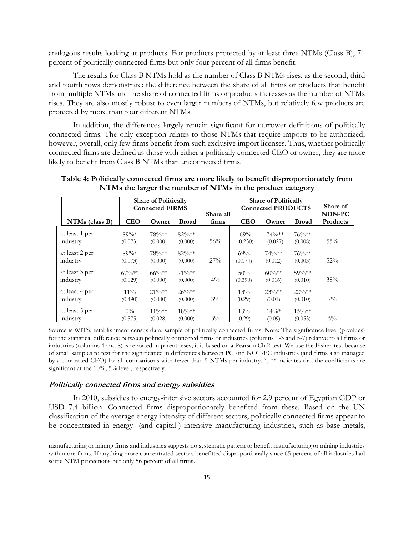analogous results looking at products. For products protected by at least three NTMs (Class B), 71 percent of politically connected firms but only four percent of all firms benefit.

The results for Class B NTMs hold as the number of Class B NTMs rises, as the second, third and fourth rows demonstrate: the difference between the share of all firms or products that benefit from multiple NTMs and the share of connected firms or products increases as the number of NTMs rises. They are also mostly robust to even larger numbers of NTMs, but relatively few products are protected by more than four different NTMs.

In addition, the differences largely remain significant for narrower definitions of politically connected firms. The only exception relates to those NTMs that require imports to be authorized; however, overall, only few firms benefit from such exclusive import licenses. Thus, whether politically connected firms are defined as those with either a politically connected CEO or owner, they are more likely to benefit from Class B NTMs than unconnected firms.

|                            | <b>Share of Politically</b><br><b>Connected FIRMS</b> |                      |                     | Share all |                | <b>Share of Politically</b><br><b>Connected PRODUCTS</b> | Share of<br>NON-PC  |          |
|----------------------------|-------------------------------------------------------|----------------------|---------------------|-----------|----------------|----------------------------------------------------------|---------------------|----------|
| $NTMs$ (class B)           | <b>CEO</b>                                            | Owner                | <b>Broad</b>        | firms     | <b>CEO</b>     | Owner                                                    | <b>Broad</b>        | Products |
| at least 1 per<br>industry | $89\%*$<br>(0.073)                                    | 78%**<br>(0.000)     | $82\%**$<br>(0.000) | 56%       | 69%<br>(0.230) | $74\%**$<br>(0.027)                                      | $76\%**$<br>(0.008) | 55%      |
| at least 2 per<br>industry | $89\%*$<br>(0.073)                                    | 78%**<br>(0.000)     | $82\%**$<br>(0.000) | 27%       | 69%<br>(0.174) | $74\%**$<br>(0.012)                                      | $76\%**$<br>(0.003) | 52%      |
| at least 3 per<br>industry | $67\%**$<br>(0.029)                                   | $66\%**$<br>(0.000)  | $71\%**$<br>(0.000) | $4\%$     | 50%<br>(0.390) | $60\%**$<br>(0.016)                                      | $59\%**$<br>(0.010) | 38%      |
| at least 4 per<br>industry | $11\%$<br>(0.490)                                     | $21\%**$<br>(0.000)  | $26\%**$<br>(0.000) | $3\%$     | 13%<br>(0.29)  | $23\%**$<br>(0.01)                                       | $22\%**$<br>(0.010) | $7\%$    |
| at least 5 per<br>industry | $0\%$<br>(0.575)                                      | $11\%***$<br>(0.028) | $18\%**$<br>(0.000) | $3\%$     | 13%<br>(0.29)  | $14\%*$<br>(0.09)                                        | $15\%**$<br>(0.053) | $5\%$    |

**Table 4: Politically connected firms are more likely to benefit disproportionately from NTMs the larger the number of NTMs in the product category**

Source is WITS; establishment census data; sample of politically connected firms. Note: The significance level (p-values) for the statistical difference between politically connected firms or industries (columns 1-3 and 5-7) relative to all firms or industries (columns 4 and 8) is reported in parentheses; it is based on a Pearson Chi2-test. We use the Fisher-test because of small samples to test for the significance in differences between PC and NOT-PC industries (and firms also managed by a connected CEO) for all comparisons with fewer than 5 NTMs per industry.  $*$ ,  $**$  indicates that the coefficients are significant at the 10%, 5% level, respectively.

#### **Politically connected firms and energy subsidies**

 $\overline{a}$ 

In 2010, subsidies to energy-intensive sectors accounted for 2.9 percent of Egyptian GDP or USD 7.4 billion. Connected firms disproportionately benefited from these. Based on the UN classification of the average energy intensity of different sectors, politically connected firms appear to be concentrated in energy- (and capital-) intensive manufacturing industries, such as base metals,

manufacturing or mining firms and industries suggests no systematic pattern to benefit manufacturing or mining industries with more firms. If anything more concentrated sectors benefitted disproportionally since 65 percent of all industries had some NTM protections but only 56 percent of all firms.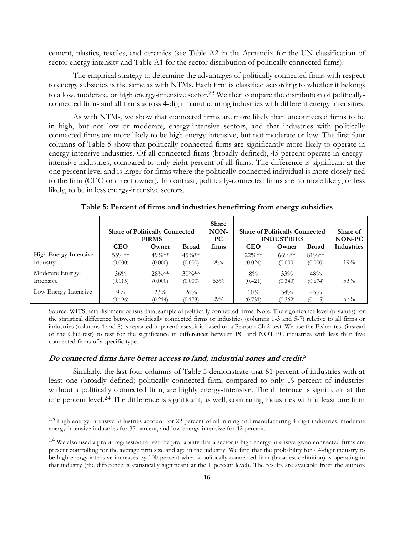cement, plastics, textiles, and ceramics (see Table A2 in the Appendix for the UN classification of sector energy intensity and Table A1 for the sector distribution of politically connected firms).

The empirical strategy to determine the advantages of politically connected firms with respect to energy subsidies is the same as with NTMs. Each firm is classified according to whether it belongs to a low, moderate, or high energy-intensive sector.<sup>23</sup> We then compare the distribution of politicallyconnected firms and all firms across 4-digit manufacturing industries with different energy intensities.

As with NTMs, we show that connected firms are more likely than unconnected firms to be in high, but not low or moderate, energy-intensive sectors, and that industries with politically connected firms are more likely to be high energy-intensive, but not moderate or low. The first four columns of Table 5 show that politically connected firms are significantly more likely to operate in energy-intensive industries. Of all connected firms (broadly defined), 45 percent operate in energyintensive industries, compared to only eight percent of all firms. The difference is significant at the one percent level and is larger for firms where the politically-connected individual is more closely tied to the firm (CEO or direct owner). In contrast, politically-connected firms are no more likely, or less likely, to be in less energy-intensive sectors.

|                                   | <b>Share of Politically Connected</b><br><b>FIRMS</b> |                     |                     | <b>Share</b><br>NON-<br>PС |                     | <b>Share of Politically Connected</b><br><b>INDUSTRIES</b> | Share of<br>NON-PC  |            |
|-----------------------------------|-------------------------------------------------------|---------------------|---------------------|----------------------------|---------------------|------------------------------------------------------------|---------------------|------------|
|                                   | <b>CEO</b>                                            | Owner               | <b>Broad</b>        | firms                      | <b>CEO</b>          | Owner                                                      | <b>Broad</b>        | Industries |
| High Energy-Intensive<br>Industry | $55\%**$<br>(0.000)                                   | $49\%**$<br>(0.000) | $45\%**$<br>(0.000) | $8\%$                      | $22\%**$<br>(0.024) | $66\%***$<br>(0.000)                                       | $81\%**$<br>(0.000) | 19%        |
| Moderate Energy-<br>Intensive     | 36%<br>(0.115)                                        | $28\%**$<br>(0.000) | $30\%**$<br>(0.000) | 63%                        | $8\%$<br>(0.421)    | 33%<br>(0.340)                                             | 48%<br>(0.674)      | 53%        |
| Low Energy-Intensive              | $9\%$<br>(0.196)                                      | 23%<br>(0.214)      | 26%<br>(0.173)      | 29%                        | 10%<br>(0.731)      | $34\%$<br>(0.362)                                          | 43%<br>(0.115)      | 57%        |

**Table 5: Percent of firms and industries benefitting from energy subsidies**

Source: WITS; establishment census data; sample of politically connected firms. Note: The significance level (p-values) for the statistical difference between politically connected firms or industries (columns 1-3 and 5-7) relative to all firms or industries (columns 4 and 8) is reported in parentheses; it is based on a Pearson Chi2-test. We use the Fisher-test (instead of the Chi2-test) to test for the significance in differences between PC and NOT-PC industries with less than five connected firms of a specific type.

#### **Do connected firms have better access to land, industrial zones and credit?**

 $\overline{a}$ 

Similarly, the last four columns of Table 5 demonstrate that 81 percent of industries with at least one (broadly defined) politically connected firm, compared to only 19 percent of industries without a politically connected firm, are highly energy-intensive. The difference is significant at the one percent level.24 The difference is significant, as well, comparing industries with at least one firm

<sup>23</sup> High energy-intensive industries account for 22 percent of all mining and manufacturing 4-digit industries, moderate energy-intensive industries for 37 percent, and low energy-intensive for 42 percent.

 $^{24}$  We also used a probit regression to test the probability that a sector is high energy intensive given connected firms are present controlling for the average firm size and age in the industry. We find that the probability for a 4-digit industry to be high energy intensive increases by 100 percent when a politically connected firm (broadest definition) is operating in that industry (the difference is statistically significant at the 1 percent level). The results are available from the authors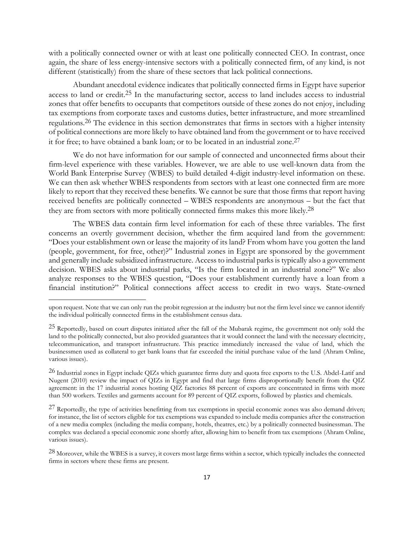with a politically connected owner or with at least one politically connected CEO. In contrast, once again, the share of less energy-intensive sectors with a politically connected firm, of any kind, is not different (statistically) from the share of these sectors that lack political connections.

Abundant anecdotal evidence indicates that politically connected firms in Egypt have superior access to land or credit.25 In the manufacturing sector, access to land includes access to industrial zones that offer benefits to occupants that competitors outside of these zones do not enjoy, including tax exemptions from corporate taxes and customs duties, better infrastructure, and more streamlined regulations.26 The evidence in this section demonstrates that firms in sectors with a higher intensity of political connections are more likely to have obtained land from the government or to have received it for free; to have obtained a bank loan; or to be located in an industrial zone. 27

We do not have information for our sample of connected and unconnected firms about their firm-level experience with these variables. However, we are able to use well-known data from the World Bank Enterprise Survey (WBES) to build detailed 4-digit industry-level information on these. We can then ask whether WBES respondents from sectors with at least one connected firm are more likely to report that they received these benefits. We cannot be sure that those firms that report having received benefits are politically connected – WBES respondents are anonymous – but the fact that they are from sectors with more politically connected firms makes this more likely.28

The WBES data contain firm level information for each of these three variables. The first concerns an overtly government decision, whether the firm acquired land from the government: "Does your establishment own or lease the majority of its land? From whom have you gotten the land (people, government, for free, other)?" Industrial zones in Egypt are sponsored by the government and generally include subsidized infrastructure. Access to industrial parks is typically also a government decision. WBES asks about industrial parks, "Is the firm located in an industrial zone?" We also analyze responses to the WBES question, "Does your establishment currently have a loan from a financial institution?" Political connections affect access to credit in two ways. State-owned

upon request. Note that we can only run the probit regression at the industry but not the firm level since we cannot identify the individual politically connected firms in the establishment census data.

<sup>25</sup> Reportedly, based on court disputes initiated after the fall of the Mubarak regime, the government not only sold the land to the politically connected, but also provided guarantees that it would connect the land with the necessary electricity, telecommunication, and transport infrastructure. This practice immediately increased the value of land, which the businessmen used as collateral to get bank loans that far exceeded the initial purchase value of the land (Ahram Online, various issues).

<sup>&</sup>lt;sup>26</sup> Industrial zones in Egypt include QIZs which guarantee firms duty and quota free exports to the U.S. Abdel-Latif and Nugent (2010) review the impact of QIZs in Egypt and find that large firms disproportionally benefit from the QIZ agreement: in the 17 industrial zones hosting QIZ factories 88 percent of exports are concentrated in firms with more than 500 workers. Textiles and garments account for 89 percent of QIZ exports, followed by plastics and chemicals.

<sup>&</sup>lt;sup>27</sup> Reportedly, the type of activities benefitting from tax exemptions in special economic zones was also demand driven; for instance, the list of sectors eligible for tax exemptions was expanded to include media companies after the construction of a new media complex (including the media company, hotels, theatres, etc.) by a politically connected businessman. The complex was declared a special economic zone shortly after, allowing him to benefit from tax exemptions (Ahram Online, various issues).

<sup>&</sup>lt;sup>28</sup> Moreover, while the WBES is a survey, it covers most large firms within a sector, which typically includes the connected firms in sectors where these firms are present.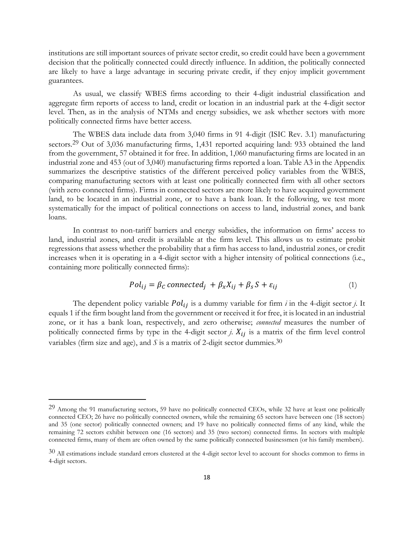institutions are still important sources of private sector credit, so credit could have been a government decision that the politically connected could directly influence. In addition, the politically connected are likely to have a large advantage in securing private credit, if they enjoy implicit government guarantees.

As usual, we classify WBES firms according to their 4-digit industrial classification and aggregate firm reports of access to land, credit or location in an industrial park at the 4-digit sector level. Then, as in the analysis of NTMs and energy subsidies, we ask whether sectors with more politically connected firms have better access.

The WBES data include data from 3,040 firms in 91 4-digit (ISIC Rev. 3.1) manufacturing sectors.<sup>29</sup> Out of 3,036 manufacturing firms, 1,431 reported acquiring land: 933 obtained the land from the government, 57 obtained it for free. In addition, 1,060 manufacturing firms are located in an industrial zone and 453 (out of 3,040) manufacturing firms reported a loan. Table A3 in the Appendix summarizes the descriptive statistics of the different perceived policy variables from the WBES, comparing manufacturing sectors with at least one politically connected firm with all other sectors (with zero connected firms). Firms in connected sectors are more likely to have acquired government land, to be located in an industrial zone, or to have a bank loan. It the following, we test more systematically for the impact of political connections on access to land, industrial zones, and bank loans.

In contrast to non-tariff barriers and energy subsidies, the information on firms' access to land, industrial zones, and credit is available at the firm level. This allows us to estimate probit regressions that assess whether the probability that a firm has access to land, industrial zones, or credit increases when it is operating in a 4-digit sector with a higher intensity of political connections (i.e., containing more politically connected firms):

$$
Pol_{ij} = \beta_C \, connected_j + \beta_x X_{ij} + \beta_s S + \varepsilon_{ij} \tag{1}
$$

The dependent policy variable  $Pol_{ij}$  is a dummy variable for firm  $i$  in the 4-digit sector  $j$ . It equals 1 if the firm bought land from the government or received it for free, it is located in an industrial zone, or it has a bank loan, respectively, and zero otherwise; *connected* measures the number of politically connected firms by type in the 4-digit sector  $i$ .  $X_{ij}$  is a matrix of the firm level control variables (firm size and age), and  $S$  is a matrix of 2-digit sector dummies.<sup>30</sup>

<sup>29</sup> Among the 91 manufacturing sectors, 59 have no politically connected CEOs, while 32 have at least one politically connected CEO; 26 have no politically connected owners, while the remaining 65 sectors have between one (18 sectors) and 35 (one sector) politically connected owners; and 19 have no politically connected firms of any kind, while the remaining 72 sectors exhibit between one (16 sectors) and 35 (two sectors) connected firms. In sectors with multiple connected firms, many of them are often owned by the same politically connected businessmen (or his family members).

 $30$  All estimations include standard errors clustered at the 4-digit sector level to account for shocks common to firms in 4-digit sectors.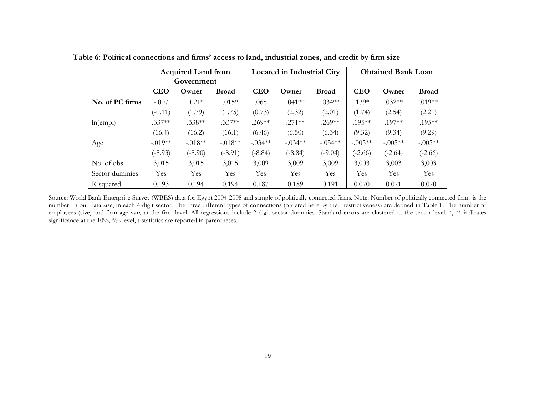|                 | <b>Acquired Land from</b><br>Government |            |              |            | <b>Located in Industrial City</b> |              |            | <b>Obtained Bank Loan</b> |              |  |
|-----------------|-----------------------------------------|------------|--------------|------------|-----------------------------------|--------------|------------|---------------------------|--------------|--|
|                 | <b>CEO</b>                              | Owner      | <b>Broad</b> | <b>CEO</b> | Owner                             | <b>Broad</b> | <b>CEO</b> | Owner                     | <b>Broad</b> |  |
| No. of PC firms | $-.007$                                 | $.021*$    | $.015*$      | .068       | $.041**$                          | $.034**$     | $.139*$    | $.032**$                  | $.019**$     |  |
|                 | $(-0.11)$                               | (1.79)     | (1.75)       | (0.73)     | (2.32)                            | (2.01)       | (1.74)     | (2.54)                    | (2.21)       |  |
| ln(empl)        | $.337**$                                | $.338**$   | $.337**$     | $.269**$   | $.271**$                          | $.269**$     | $.195***$  | .197**                    | $.195**$     |  |
|                 | (16.4)                                  | (16.2)     | (16.1)       | (6.46)     | (6.50)                            | (6.34)       | (9.32)     | (9.34)                    | (9.29)       |  |
| Age             | $-.019**$                               | $-.018**$  | $-.018**$    | $-.034**$  | $-.034**$                         | $-.034**$    | $-.005**$  | $-.005**$                 | $-.005**$    |  |
|                 | $(-8.93)$                               | $(-8.90)$  | $(-8.91)$    | $(-8.84)$  | $(-8.84)$                         | $(-9.04)$    | $(-2.66)$  | $(-2.64)$                 | $(-2.66)$    |  |
| No. of obs      | 3,015                                   | 3,015      | 3,015        | 3,009      | 3,009                             | 3,009        | 3,003      | 3,003                     | 3,003        |  |
| Sector dummies  | Yes                                     | <b>Yes</b> | <b>Yes</b>   | <b>Yes</b> | <b>Yes</b>                        | Yes          | Yes        | Yes                       | <b>Yes</b>   |  |
| R-squared       | 0.193                                   | 0.194      | 0.194        | 0.187      | 0.189                             | 0.191        | 0.070      | 0.071                     | 0.070        |  |

**Table 6: Political connections and firms' access to land, industrial zones, and credit by firm size**

Source: World Bank Enterprise Survey (WBES) data for Egypt 2004-2008 and sample of politically connected firms. Note: Number of politically connected firms is the number, in our database, in each 4-digit sector. The three different types of connections (ordered here by their restrictiveness) are defined in Table 1. The number of employees (size) and firm age vary at the firm level. All regressions include 2-digit sector dummies. Standard errors are clustered at the sector level. \*, \*\* indicates significance at the 10%, 5% level, t-statistics are reported in parentheses.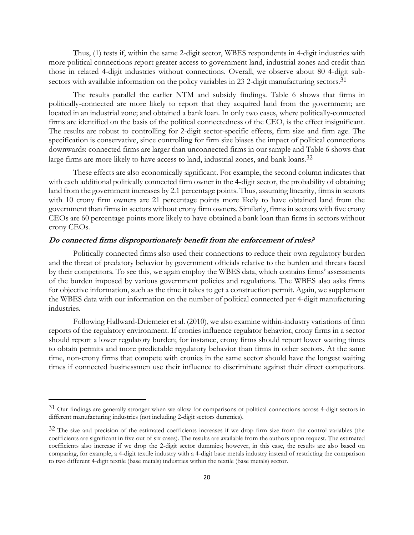Thus, (1) tests if, within the same 2-digit sector, WBES respondents in 4-digit industries with more political connections report greater access to government land, industrial zones and credit than those in related 4-digit industries without connections. Overall, we observe about 80 4-digit subsectors with available information on the policy variables in 23 2-digit manufacturing sectors.<sup>31</sup>

The results parallel the earlier NTM and subsidy findings. Table 6 shows that firms in politically-connected are more likely to report that they acquired land from the government; are located in an industrial zone; and obtained a bank loan. In only two cases, where politically-connected firms are identified on the basis of the political connectedness of the CEO, is the effect insignificant. The results are robust to controlling for 2-digit sector-specific effects, firm size and firm age. The specification is conservative, since controlling for firm size biases the impact of political connections downwards: connected firms are larger than unconnected firms in our sample and Table 6 shows that large firms are more likely to have access to land, industrial zones, and bank loans.<sup>32</sup>

These effects are also economically significant. For example, the second column indicates that with each additional politically connected firm owner in the 4-digit sector, the probability of obtaining land from the government increases by 2.1 percentage points. Thus, assuming linearity, firms in sectors with 10 crony firm owners are 21 percentage points more likely to have obtained land from the government than firms in sectors without crony firm owners. Similarly, firms in sectors with five crony CEOs are 60 percentage points more likely to have obtained a bank loan than firms in sectors without crony CEOs.

#### **Do connected firms disproportionately benefit from the enforcement of rules?**

Politically connected firms also used their connections to reduce their own regulatory burden and the threat of predatory behavior by government officials relative to the burden and threats faced by their competitors. To see this, we again employ the WBES data, which contains firms' assessments of the burden imposed by various government policies and regulations. The WBES also asks firms for objective information, such as the time it takes to get a construction permit. Again, we supplement the WBES data with our information on the number of political connected per 4-digit manufacturing industries.

Following Hallward-Driemeier et al. (2010), we also examine within-industry variations of firm reports of the regulatory environment. If cronies influence regulator behavior, crony firms in a sector should report a lower regulatory burden; for instance, crony firms should report lower waiting times to obtain permits and more predictable regulatory behavior than firms in other sectors. At the same time, non-crony firms that compete with cronies in the same sector should have the longest waiting times if connected businessmen use their influence to discriminate against their direct competitors.

<sup>31</sup> Our findings are generally stronger when we allow for comparisons of political connections across 4-digit sectors in different manufacturing industries (not including 2-digit sectors dummies).

<sup>&</sup>lt;sup>32</sup> The size and precision of the estimated coefficients increases if we drop firm size from the control variables (the coefficients are significant in five out of six cases). The results are available from the authors upon request. The estimated coefficients also increase if we drop the 2-digit sector dummies; however, in this case, the results are also based on comparing, for example, a 4-digit textile industry with a 4-digit base metals industry instead of restricting the comparison to two different 4-digit textile (base metals) industries within the textile (base metals) sector.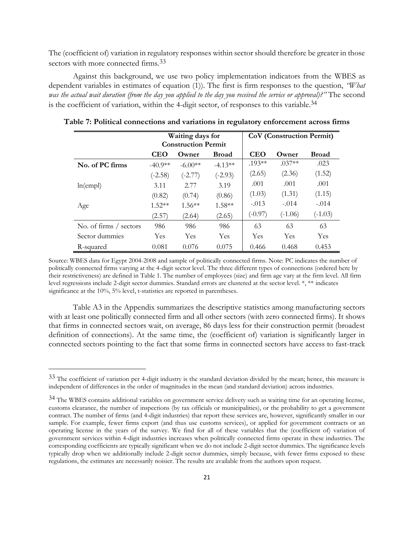The (coefficient of) variation in regulatory responses within sector should therefore be greater in those sectors with more connected firms. 33

Against this background, we use two policy implementation indicators from the WBES as dependent variables in estimates of equation (1)). The first is firm responses to the question, *"What was the actual wait duration (from the day you applied to the day you received the service or approval)?"* The second is the coefficient of variation, within the 4-digit sector, of responses to this variable.34

|                        |            | Waiting days for           |              | <b>CoV</b> (Construction Permit) |           |              |  |  |
|------------------------|------------|----------------------------|--------------|----------------------------------|-----------|--------------|--|--|
|                        |            | <b>Construction Permit</b> |              |                                  |           |              |  |  |
|                        | <b>CEO</b> | Owner                      | <b>Broad</b> | <b>CEO</b>                       | Owner     | <b>Broad</b> |  |  |
| No. of PC firms        | $-40.9**$  | $-6.00**$                  | $-4.13**$    | $.193**$                         | $.037**$  | .023         |  |  |
|                        | $(-2.58)$  | $(-2.77)$                  | $(-2.93)$    | (2.65)                           | (2.36)    | (1.52)       |  |  |
| ln(empl)               | 3.11       | 2.77                       | 3.19         | .001                             | .001      | .001         |  |  |
|                        | (0.82)     | (0.74)                     | (0.86)       | (1.03)                           | (1.31)    | (1.15)       |  |  |
| Age                    | $1.52**$   | $1.56***$                  | $1.58**$     | $-.013$                          | $-.014$   | $-.014$      |  |  |
|                        | (2.57)     | (2.64)                     | (2.65)       | $(-0.97)$                        | $(-1.06)$ | $(-1.03)$    |  |  |
| No. of firms / sectors | 986        | 986                        | 986          | 63                               | 63        | 63           |  |  |
| Sector dummies         | Yes        | Yes                        | Yes          | Yes                              | Yes       | Yes          |  |  |
| R-squared              | 0.081      | 0.076                      | 0.075        | 0.466                            | 0.468     | 0.453        |  |  |

**Table 7: Political connections and variations in regulatory enforcement across firms**

Source: WBES data for Egypt 2004-2008 and sample of politically connected firms. Note: PC indicates the number of politically connected firms varying at the 4-digit sector level. The three different types of connections (ordered here by their restrictiveness) are defined in Table 1. The number of employees (size) and firm age vary at the firm level. All firm level regressions include 2-digit sector dummies. Standard errors are clustered at the sector level. \*, \*\* indicates significance at the 10%, 5% level, t-statistics are reported in parentheses.

Table A3 in the Appendix summarizes the descriptive statistics among manufacturing sectors with at least one politically connected firm and all other sectors (with zero connected firms). It shows that firms in connected sectors wait, on average, 86 days less for their construction permit (broadest definition of connections). At the same time, the (coefficient of) variation is significantly larger in connected sectors pointing to the fact that some firms in connected sectors have access to fast-track

<sup>33</sup> The coefficient of variation per 4-digit industry is the standard deviation divided by the mean; hence, this measure is independent of differences in the order of magnitudes in the mean (and standard deviation) across industries.

<sup>34</sup> The WBES contains additional variables on government service delivery such as waiting time for an operating license, customs clearance, the number of inspections (by tax officials or municipalities), or the probability to get a government contract. The number of firms (and 4-digit industries) that report these services are, however, significantly smaller in our sample. For example, fewer firms export (and thus use customs services), or applied for government contracts or an operating license in the years of the survey. We find for all of these variables that the (coefficient of) variation of government services within 4-digit industries increases when politically connected firms operate in these industries. The corresponding coefficients are typically significant when we do not include 2-digit sector dummies. The significance levels typically drop when we additionally include 2-digit sector dummies, simply because, with fewer firms exposed to these regulations, the estimates are necessarily noisier. The results are available from the authors upon request.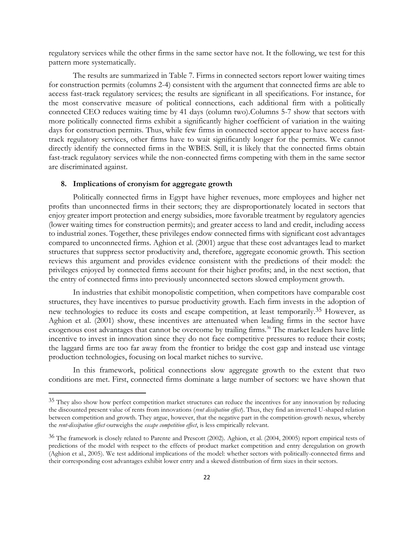regulatory services while the other firms in the same sector have not. It the following, we test for this pattern more systematically.

The results are summarized in Table 7. Firms in connected sectors report lower waiting times for construction permits (columns 2-4) consistent with the argument that connected firms are able to access fast-track regulatory services; the results are significant in all specifications. For instance, for the most conservative measure of political connections, each additional firm with a politically connected CEO reduces waiting time by 41 days (column two).Columns 5-7 show that sectors with more politically connected firms exhibit a significantly higher coefficient of variation in the waiting days for construction permits. Thus, while few firms in connected sector appear to have access fasttrack regulatory services, other firms have to wait significantly longer for the permits. We cannot directly identify the connected firms in the WBES. Still, it is likely that the connected firms obtain fast-track regulatory services while the non-connected firms competing with them in the same sector are discriminated against.

#### **8. Implications of cronyism for aggregate growth**

 $\overline{a}$ 

Politically connected firms in Egypt have higher revenues, more employees and higher net profits than unconnected firms in their sectors; they are disproportionately located in sectors that enjoy greater import protection and energy subsidies, more favorable treatment by regulatory agencies (lower waiting times for construction permits); and greater access to land and credit, including access to industrial zones. Together, these privileges endow connected firms with significant cost advantages compared to unconnected firms. Aghion et al. (2001) argue that these cost advantages lead to market structures that suppress sector productivity and, therefore, aggregate economic growth. This section reviews this argument and provides evidence consistent with the predictions of their model: the privileges enjoyed by connected firms account for their higher profits; and, in the next section, that the entry of connected firms into previously unconnected sectors slowed employment growth.

In industries that exhibit monopolistic competition, when competitors have comparable cost structures, they have incentives to pursue productivity growth. Each firm invests in the adoption of new technologies to reduce its costs and escape competition, at least temporarily.<sup>35</sup> However, as Aghion et al. (2001) show, these incentives are attenuated when leading firms in the sector have exogenous cost advantages that cannot be overcome by trailing firms.<sup>36</sup> The market leaders have little incentive to invest in innovation since they do not face competitive pressures to reduce their costs; the laggard firms are too far away from the frontier to bridge the cost gap and instead use vintage production technologies, focusing on local market niches to survive.

In this framework, political connections slow aggregate growth to the extent that two conditions are met. First, connected firms dominate a large number of sectors: we have shown that

<sup>&</sup>lt;sup>35</sup> They also show how perfect competition market structures can reduce the incentives for any innovation by reducing the discounted present value of rents from innovations (*rent dissipation effect*). Thus, they find an inverted U-shaped relation between competition and growth. They argue, however, that the negative part in the competition-growth nexus, whereby the *rent-dissipation effect* outweighs the *escape competition effect*, is less empirically relevant.

<sup>36</sup> The framework is closely related to Parente and Prescott (2002). Aghion, et al. (2004, 20005) report empirical tests of predictions of the model with respect to the effects of product market competition and entry deregulation on growth (Aghion et al., 2005). We test additional implications of the model: whether sectors with politically-connected firms and their corresponding cost advantages exhibit lower entry and a skewed distribution of firm sizes in their sectors.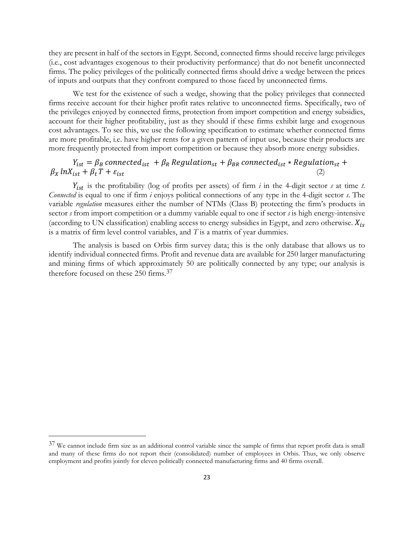they are present in half of the sectors in Egypt. Second, connected firms should receive large privileges (i.e., cost advantages exogenous to their productivity performance) that do not benefit unconnected firms. The policy privileges of the politically connected firms should drive a wedge between the prices of inputs and outputs that they confront compared to those faced by unconnected firms.

We test for the existence of such a wedge, showing that the policy privileges that connected firms receive account for their higher profit rates relative to unconnected firms. Specifically, two of the privileges enjoyed by connected firms, protection from import competition and energy subsidies, account for their higher profitability, just as they should if these firms exhibit large and exogenous cost advantages. To see this, we use the following specification to estimate whether connected firms are more profitable, i.e. have higher rents for a given pattern of input use, because their products are more frequently protected from import competition or because they absorb more energy subsidies.

# $Y_{ist} = \beta_B$  connected<sub>ist</sub> +  $\beta_R$  Regulation<sub>st</sub> +  $\beta_{BR}$  connected<sub>ist</sub> \* Regulation<sub>st</sub> +  $\beta_X ln X_{ist} + \beta_t T + \varepsilon_{ist}$

 is the profitability (log of profits per assets) of firm *i* in the 4-digit sector *s* at time *t*. *Connected* is equal to one if firm *i* enjoys political connections of any type in the 4-digit sector *s*. The variable *regulation* measures either the number of NTMs (Class B) protecting the firm's products in sector *s* from import competition or a dummy variable equal to one if sector *s* is high energy-intensive (according to UN classification) enabling access to energy subsidies in Egypt, and zero otherwise.  $X_{is}$ is a matrix of firm level control variables, and *T* is a matrix of year dummies.

The analysis is based on Orbis firm survey data; this is the only database that allows us to identify individual connected firms. Profit and revenue data are available for 250 larger manufacturing and mining firms of which approximately 50 are politically connected by any type; our analysis is therefore focused on these 250 firms.37

<sup>37</sup> We cannot include firm size as an additional control variable since the sample of firms that report profit data is small and many of these firms do not report their (consolidated) number of employees in Orbis. Thus, we only observe employment and profits jointly for eleven politically connected manufacturing firms and 40 firms overall.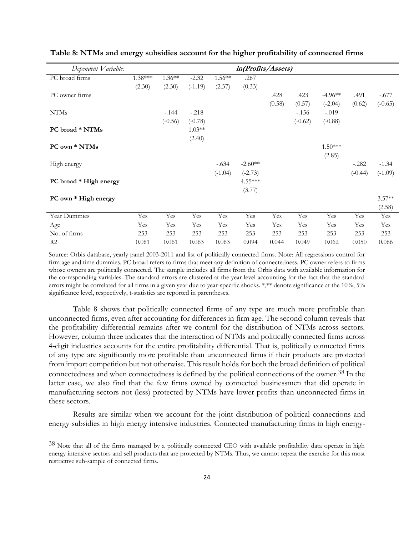| Dependent Variable:    |           |           |           |           | In(Profits/Assets) |        |           |           |           |           |
|------------------------|-----------|-----------|-----------|-----------|--------------------|--------|-----------|-----------|-----------|-----------|
| PC broad firms         | $1.38***$ | $1.36**$  | $-2.32$   | $1.56**$  | .267               |        |           |           |           |           |
|                        | (2.30)    | (2.30)    | $(-1.19)$ | (2.37)    | (0.33)             |        |           |           |           |           |
| PC owner firms         |           |           |           |           |                    | .428   | .423      | $-4.96**$ | .491      | $-.677$   |
|                        |           |           |           |           |                    | (0.58) | (0.57)    | $(-2.04)$ | (0.62)    | $(-0.65)$ |
| <b>NTMs</b>            |           | $-.144$   | $-.218$   |           |                    |        | $-156$    | $-.019$   |           |           |
|                        |           | $(-0.56)$ | $(-0.78)$ |           |                    |        | $(-0.62)$ | $(-0.88)$ |           |           |
| PC broad * NTMs        |           |           | $1.03**$  |           |                    |        |           |           |           |           |
|                        |           |           | (2.40)    |           |                    |        |           |           |           |           |
| PC own * NTMs          |           |           |           |           |                    |        |           | $1.50***$ |           |           |
|                        |           |           |           |           |                    |        |           | (2.85)    |           |           |
| High energy            |           |           |           | $-.634$   | $-2.60**$          |        |           |           | $-.282$   | $-1.34$   |
|                        |           |           |           | $(-1.04)$ | $(-2.73)$          |        |           |           | $(-0.44)$ | $(-1.09)$ |
| PC broad * High energy |           |           |           |           | 4.55***            |        |           |           |           |           |
|                        |           |           |           |           | (3.77)             |        |           |           |           |           |
| PC own * High energy   |           |           |           |           |                    |        |           |           |           | $3.57**$  |
|                        |           |           |           |           |                    |        |           |           |           | (2.58)    |
| Year Dummies           | Yes       | Yes       | Yes       | Yes       | Yes                | Yes    | Yes       | Yes       | Yes       | Yes       |
| Age                    | Yes       | Yes       | Yes       | Yes       | Yes                | Yes    | Yes       | Yes       | Yes       | Yes       |
| No. of firms           | 253       | 253       | 253       | 253       | 253                | 253    | 253       | 253       | 253       | 253       |
| R <sub>2</sub>         | 0.061     | 0.061     | 0.063     | 0.063     | 0.094              | 0.044  | 0.049     | 0.062     | 0.050     | 0.066     |

#### **Table 8: NTMs and energy subsidies account for the higher profitability of connected firms**

Source: Orbis database, yearly panel 2003-2011 and list of politically connected firms. Note: All regressions control for firm age and time dummies. PC broad refers to firms that meet any definition of connectedness. PC owner refers to firms whose owners are politically connected. The sample includes all firms from the Orbis data with available information for the corresponding variables. The standard errors are clustered at the year level accounting for the fact that the standard errors might be correlated for all firms in a given year due to year-specific shocks. \*,\*\* denote significance at the 10%, 5% significance level, respectively, t-statistics are reported in parentheses.

Table 8 shows that politically connected firms of any type are much more profitable than unconnected firms, even after accounting for differences in firm age. The second column reveals that the profitability differential remains after we control for the distribution of NTMs across sectors. However, column three indicates that the interaction of NTMs and politically connected firms across 4-digit industries accounts for the entire profitability differential. That is, politically connected firms of any type are significantly more profitable than unconnected firms if their products are protected from import competition but not otherwise. This result holds for both the broad definition of political connectedness and when connectedness is defined by the political connections of the owner.<sup>38</sup> In the latter case, we also find that the few firms owned by connected businessmen that did operate in manufacturing sectors not (less) protected by NTMs have lower profits than unconnected firms in these sectors.

Results are similar when we account for the joint distribution of political connections and energy subsidies in high energy intensive industries. Connected manufacturing firms in high energy-

<sup>38</sup> Note that all of the firms managed by a politically connected CEO with available profitability data operate in high energy intensive sectors and sell products that are protected by NTMs. Thus, we cannot repeat the exercise for this most restrictive sub-sample of connected firms.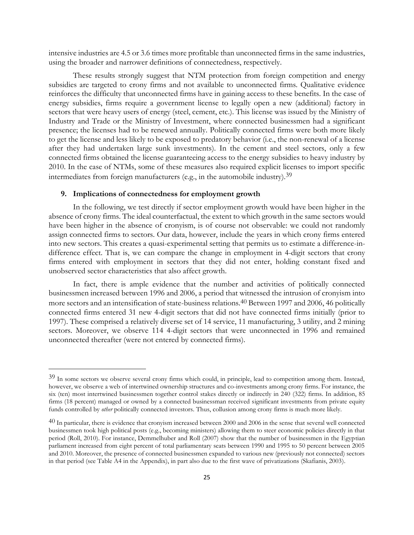intensive industries are 4.5 or 3.6 times more profitable than unconnected firms in the same industries, using the broader and narrower definitions of connectedness, respectively.

These results strongly suggest that NTM protection from foreign competition and energy subsidies are targeted to crony firms and not available to unconnected firms. Qualitative evidence reinforces the difficulty that unconnected firms have in gaining access to these benefits. In the case of energy subsidies, firms require a government license to legally open a new (additional) factory in sectors that were heavy users of energy (steel, cement, etc.). This license was issued by the Ministry of Industry and Trade or the Ministry of Investment, where connected businessmen had a significant presence; the licenses had to be renewed annually. Politically connected firms were both more likely to get the license and less likely to be exposed to predatory behavior (i.e., the non-renewal of a license after they had undertaken large sunk investments). In the cement and steel sectors, only a few connected firms obtained the license guaranteeing access to the energy subsidies to heavy industry by 2010. In the case of NTMs, some of these measures also required explicit licenses to import specific intermediates from foreign manufacturers (e.g., in the automobile industry).39

#### **9. Implications of connectedness for employment growth**

 $\overline{a}$ 

In the following, we test directly if sector employment growth would have been higher in the absence of crony firms. The ideal counterfactual, the extent to which growth in the same sectors would have been higher in the absence of cronyism, is of course not observable: we could not randomly assign connected firms to sectors. Our data, however, include the years in which crony firms entered into new sectors. This creates a quasi-experimental setting that permits us to estimate a difference-indifference effect. That is, we can compare the change in employment in 4-digit sectors that crony firms entered with employment in sectors that they did not enter, holding constant fixed and unobserved sector characteristics that also affect growth.

In fact, there is ample evidence that the number and activities of politically connected businessmen increased between 1996 and 2006, a period that witnessed the intrusion of cronyism into more sectors and an intensification of state-business relations.40 Between 1997 and 2006, 46 politically connected firms entered 31 new 4-digit sectors that did not have connected firms initially (prior to 1997). These comprised a relatively diverse set of 14 service, 11 manufacturing, 3 utility, and 2 mining sectors. Moreover, we observe 114 4-digit sectors that were unconnected in 1996 and remained unconnected thereafter (were not entered by connected firms).

<sup>&</sup>lt;sup>39</sup> In some sectors we observe several crony firms which could, in principle, lead to competition among them. Instead, however, we observe a web of intertwined ownership structures and co-investments among crony firms. For instance, the six (ten) most intertwined businessmen together control stakes directly or indirectly in 240 (322) firms. In addition, 85 firms (18 percent) managed or owned by a connected businessman received significant investments from private equity funds controlled by *other* politically connected investors. Thus, collusion among crony firms is much more likely.

<sup>&</sup>lt;sup>40</sup> In particular, there is evidence that cronyism increased between 2000 and 2006 in the sense that several well connected businessmen took high political posts (e.g., becoming ministers) allowing them to steer economic policies directly in that period (Roll, 2010). For instance, Demmelhuber and Roll (2007) show that the number of businessmen in the Egyptian parliament increased from eight percent of total parliamentary seats between 1990 and 1995 to 50 percent between 2005 and 2010. Moreover, the presence of connected businessmen expanded to various new (previously not connected) sectors in that period (see Table A4 in the Appendix), in part also due to the first wave of privatizations (Skafianis, 2003).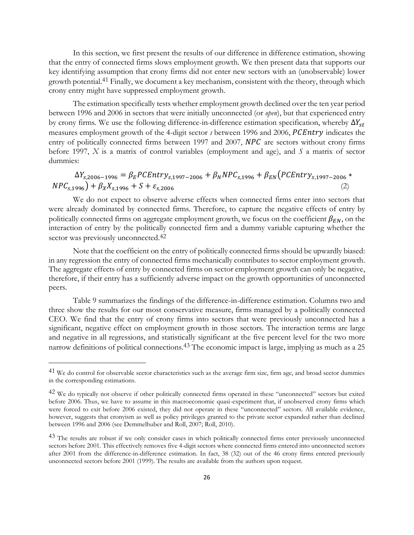In this section, we first present the results of our difference in difference estimation, showing that the entry of connected firms slows employment growth. We then present data that supports our key identifying assumption that crony firms did not enter new sectors with an (unobservable) lower growth potential.41 Finally, we document a key mechanism, consistent with the theory, through which crony entry might have suppressed employment growth.

The estimation specifically tests whether employment growth declined over the ten year period between 1996 and 2006 in sectors that were initially unconnected (or *open*), but that experienced entry by crony firms. We use the following difference-in-difference estimation specification, whereby  $\Delta Y_{st}$ measures employment growth of the 4-digit sector *s* between 1996 and 2006, *PCEntry* indicates the entry of politically connected firms between 1997 and 2007,  $NPC$  are sectors without crony firms before 1997, *X* is a matrix of control variables (employment and age), and *S* a matrix of sector dummies:

 $\Delta Y_{s,2006-1996} = \beta_E PCEntry_{s,1997-2006} + \beta_N NPC_{s,1996} + \beta_{EN} (PCEntry_{s,1997-2006}$ \*  $NPC_{s.1996}$  +  $\beta_X X_{s.1996}$  +  $S + \varepsilon_{s.2006}$  (2)

We do not expect to observe adverse effects when connected firms enter into sectors that were already dominated by connected firms. Therefore, to capture the negative effects of entry by politically connected firms on aggregate employment growth, we focus on the coefficient  $\beta_{EN}$ , on the interaction of entry by the politically connected firm and a dummy variable capturing whether the sector was previously unconnected.<sup>42</sup>

Note that the coefficient on the entry of politically connected firms should be upwardly biased: in any regression the entry of connected firms mechanically contributes to sector employment growth. The aggregate effects of entry by connected firms on sector employment growth can only be negative, therefore, if their entry has a sufficiently adverse impact on the growth opportunities of unconnected peers.

Table 9 summarizes the findings of the difference-in-difference estimation. Columns two and three show the results for our most conservative measure, firms managed by a politically connected CEO. We find that the entry of crony firms into sectors that were previously unconnected has a significant, negative effect on employment growth in those sectors. The interaction terms are large and negative in all regressions, and statistically significant at the five percent level for the two more narrow definitions of political connections.<sup>43</sup> The economic impact is large, implying as much as a 25

<sup>41</sup> We do control for observable sector characteristics such as the average firm size, firm age, and broad sector dummies in the corresponding estimations.

<sup>42</sup> We do typically not observe if other politically connected firms operated in these "unconnected" sectors but exited before 2006. Thus, we have to assume in this macroeconomic quasi-experiment that, if unobserved crony firms which were forced to exit before 2006 existed, they did not operate in these "unconnected" sectors. All available evidence, however, suggests that cronyism as well as policy privileges granted to the private sector expanded rather than declined between 1996 and 2006 (see Demmelhuber and Roll, 2007; Roll, 2010).

<sup>&</sup>lt;sup>43</sup> The results are robust if we only consider cases in which politically connected firms enter previously unconnected sectors before 2001. This effectively removes five 4-digit sectors where connected firms entered into unconnected sectors after 2001 from the difference-in-difference estimation. In fact, 38 (32) out of the 46 crony firms entered previously unconnected sectors before 2001 (1999). The results are available from the authors upon request.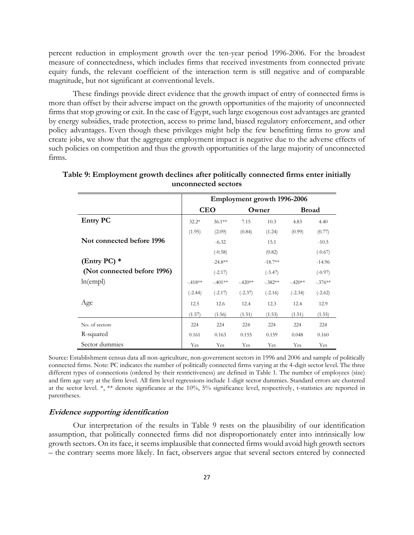percent reduction in employment growth over the ten-year period 1996-2006. For the broadest measure of connectedness, which includes firms that received investments from connected private equity funds, the relevant coefficient of the interaction term is still negative and of comparable magnitude, but not significant at conventional levels.

These findings provide direct evidence that the growth impact of entry of connected firms is more than offset by their adverse impact on the growth opportunities of the majority of unconnected firms that stop growing or exit. In the case of Egypt, such large exogenous cost advantages are granted by energy subsidies, trade protection, access to prime land, biased regulatory enforcement, and other policy advantages. Even though these privileges might help the few benefitting firms to grow and create jobs, we show that the aggregate employment impact is negative due to the adverse effects of such policies on competition and thus the growth opportunities of the large majority of unconnected firms.

|                             |           |            | Employment growth 1996-2006 |           |              |           |
|-----------------------------|-----------|------------|-----------------------------|-----------|--------------|-----------|
|                             |           | <b>CEO</b> |                             | Owner     | <b>Broad</b> |           |
| <b>Entry PC</b>             | $32.2*$   | $36.1***$  | 7.15                        | 10.3      | 4.83         | 4.40      |
|                             | (1.95)    | (2.09)     | (0.84)                      | (1.24)    | (0.99)       | (0.77)    |
| Not connected before 1996   |           | $-6.32$    |                             | 15.1      |              | $-10.5$   |
|                             |           | $(-0.58)$  |                             | (0.82)    |              | $(-0.67)$ |
| (Entry PC) $*$              |           | $-24.8**$  |                             | $-18.7**$ |              | $-14.96$  |
| (Not connected before 1996) |           | $(-2.17)$  |                             | $(-3.47)$ |              | $(-0.97)$ |
| ln(empl)                    | $-418**$  | $-.401**$  | $-.420**$                   | $-.382**$ | $-.420**$    | $-.376**$ |
|                             | $(-2.44)$ | $(-2.17)$  | $(-2.37)$                   | $(-2.16)$ | $(-2.34)$    | $(-2.62)$ |
| Age                         | 12.5      | 12.6       | 12.4                        | 12.3      | 12.4         | 12.9      |
|                             | (1.57)    | (1.56)     | (1.51)                      | (1.53)    | (1.51)       | (1.55)    |
| No. of sectors              | 224       | 224        | 224                         | 224       | 224          | 224       |
| R-squared                   | 0.161     | 0.163      | 0.155                       | 0.159     | 0.048        | 0.160     |
| Sector dummies              | Yes       | Yes        | Yes                         | Yes       | Yes          | Yes       |

# **Table 9: Employment growth declines after politically connected firms enter initially unconnected sectors**

Source: Establishment census data all non-agriculture, non-government sectors in 1996 and 2006 and sample of politically connected firms. Note: PC indicates the number of politically connected firms varying at the 4-digit sector level. The three different types of connections (ordered by their restrictiveness) are defined in Table 1. The number of employees (size) and firm age vary at the firm level. All firm level regressions include 1-digit sector dummies. Standard errors are clustered at the sector level. \*, \*\* denote significance at the 10%, 5% significance level, respectively, t-statistics are reported in parentheses.

#### **Evidence supporting identification**

Our interpretation of the results in Table 9 rests on the plausibility of our identification assumption, that politically connected firms did not disproportionately enter into intrinsically low growth sectors. On its face, it seems implausible that connected firms would avoid high growth sectors – the contrary seems more likely. In fact, observers argue that several sectors entered by connected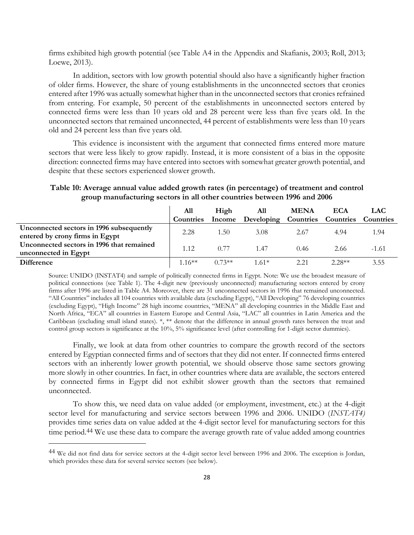firms exhibited high growth potential (see Table A4 in the Appendix and Skafianis, 2003; Roll, 2013; Loewe, 2013).

In addition, sectors with low growth potential should also have a significantly higher fraction of older firms. However, the share of young establishments in the unconnected sectors that cronies entered after 1996 was actually somewhat higher than in the unconnected sectors that cronies refrained from entering. For example, 50 percent of the establishments in unconnected sectors entered by connected firms were less than 10 years old and 28 percent were less than five years old. In the unconnected sectors that remained unconnected, 44 percent of establishments were less than 10 years old and 24 percent less than five years old.

This evidence is inconsistent with the argument that connected firms entered more mature sectors that were less likely to grow rapidly. Instead, it is more consistent of a bias in the opposite direction: connected firms may have entered into sectors with somewhat greater growth potential, and despite that these sectors experienced slower growth.

**Table 10: Average annual value added growth rates (in percentage) of treatment and control group manufacturing sectors in all other countries between 1996 and 2006**

|                                                                             | All       | High     | All                                      | <b>MENA</b> | <b>ECA</b> | <b>LAC</b> |
|-----------------------------------------------------------------------------|-----------|----------|------------------------------------------|-------------|------------|------------|
|                                                                             | Countries | Income   | Developing Countries Countries Countries |             |            |            |
| Unconnected sectors in 1996 subsequently<br>entered by crony firms in Egypt | 2.28      | 1.50     | 3.08                                     | 2.67        | 4.94       | 1.94       |
| Unconnected sectors in 1996 that remained<br>unconnected in Egypt           | 1.12      | 0.77     | 1.47                                     | 0.46        | 2.66       | $-1.61$    |
| <b>Difference</b>                                                           | $116**$   | $0.73**$ | $1.61*$                                  | 2.21        | $2.28**$   | 3.55       |

Source: UNIDO (INSTAT4) and sample of politically connected firms in Egypt. Note: We use the broadest measure of political connections (see Table 1). The 4-digit new (previously unconnected) manufacturing sectors entered by crony firms after 1996 are listed in Table A4. Moreover, there are 31 unconnected sectors in 1996 that remained unconnected. "All Countries" includes all 104 countries with available data (excluding Egypt), "All Developing" 76 developing countries (excluding Egypt), "High Income" 28 high income countries, "MENA" all developing countries in the Middle East and North Africa, "ECA" all countries in Eastern Europe and Central Asia, "LAC" all countries in Latin America and the Caribbean (excluding small island states). \*, \*\* denote that the difference in annual growth rates between the treat and control group sectors is significance at the 10%, 5% significance level (after controlling for 1-digit sector dummies).

Finally, we look at data from other countries to compare the growth record of the sectors entered by Egyptian connected firms and of sectors that they did not enter. If connected firms entered sectors with an inherently lower growth potential, we should observe those same sectors growing more slowly in other countries. In fact, in other countries where data are available, the sectors entered by connected firms in Egypt did not exhibit slower growth than the sectors that remained unconnected.

To show this, we need data on value added (or employment, investment, etc.) at the 4-digit sector level for manufacturing and service sectors between 1996 and 2006. UNIDO (*INSTAT4)* provides time series data on value added at the 4-digit sector level for manufacturing sectors for this time period.<sup>44</sup> We use these data to compare the average growth rate of value added among countries

<sup>44</sup> We did not find data for service sectors at the 4-digit sector level between 1996 and 2006. The exception is Jordan, which provides these data for several service sectors (see below).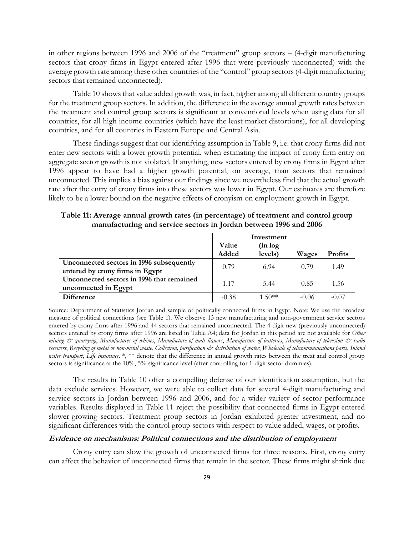in other regions between 1996 and 2006 of the "treatment" group sectors – (4-digit manufacturing sectors that crony firms in Egypt entered after 1996 that were previously unconnected) with the average growth rate among these other countries of the "control" group sectors (4-digit manufacturing sectors that remained unconnected).

Table 10 shows that value added growth was, in fact, higher among all different country groups for the treatment group sectors. In addition, the difference in the average annual growth rates between the treatment and control group sectors is significant at conventional levels when using data for all countries, for all high income countries (which have the least market distortions), for all developing countries, and for all countries in Eastern Europe and Central Asia.

These findings suggest that our identifying assumption in Table 9, i.e. that crony firms did not enter new sectors with a lower growth potential, when estimating the impact of crony firm entry on aggregate sector growth is not violated. If anything, new sectors entered by crony firms in Egypt after 1996 appear to have had a higher growth potential, on average, than sectors that remained unconnected. This implies a bias against our findings since we nevertheless find that the actual growth rate after the entry of crony firms into these sectors was lower in Egypt. Our estimates are therefore likely to be a lower bound on the negative effects of cronyism on employment growth in Egypt.

|                                                                             | Value   | Investment<br>(in log |         |                |
|-----------------------------------------------------------------------------|---------|-----------------------|---------|----------------|
|                                                                             | Added   | levels)               | Wages   | <b>Profits</b> |
| Unconnected sectors in 1996 subsequently<br>entered by crony firms in Egypt | 0.79    | 6.94                  | 0.79    | 1.49           |
| Unconnected sectors in 1996 that remained<br>unconnected in Egypt           | 1.17    | 5.44                  | 0.85    | 1.56           |
| <b>Difference</b>                                                           | $-0.38$ | $1.50**$              | $-0.06$ | $-0.07$        |

**Table 11: Average annual growth rates (in percentage) of treatment and control group manufacturing and service sectors in Jordan between 1996 and 2006**

Source: Department of Statistics Jordan and sample of politically connected firms in Egypt. Note: We use the broadest measure of political connections (see Table 1). We observe 13 new manufacturing and non-government service sectors entered by crony firms after 1996 and 44 sectors that remained unconnected. The 4-digit new (previously unconnected) sectors entered by crony firms after 1996 are listed in Table A4; data for Jordan in this period are not available for *Other mining & quarrying*, *Manufactures of whines*, *Manufacture of malt liquors*, *Manufacture of batteries*, *Manufacture of television & radio receivers*, *Recycling of metal or non-metal waste*, *Collection, purification & distribution of water*, *Wholesale of telecommunications parts*, *Inland water transport*, *Life insurance*. \*, \*\* denote that the difference in annual growth rates between the treat and control group sectors is significance at the 10%, 5% significance level (after controlling for 1-digit sector dummies).

The results in Table 10 offer a compelling defense of our identification assumption, but the data exclude services. However, we were able to collect data for several 4-digit manufacturing and service sectors in Jordan between 1996 and 2006, and for a wider variety of sector performance variables. Results displayed in Table 11 reject the possibility that connected firms in Egypt entered slower-growing sectors. Treatment group sectors in Jordan exhibited greater investment, and no significant differences with the control group sectors with respect to value added, wages, or profits.

#### **Evidence on mechanisms: Political connections and the distribution of employment**

Crony entry can slow the growth of unconnected firms for three reasons. First, crony entry can affect the behavior of unconnected firms that remain in the sector. These firms might shrink due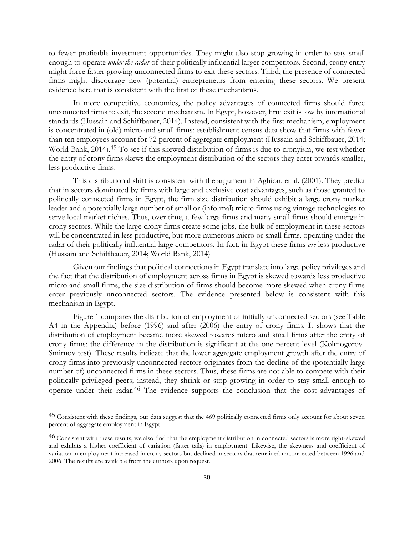to fewer profitable investment opportunities. They might also stop growing in order to stay small enough to operate *under the radar* of their politically influential larger competitors. Second, crony entry might force faster-growing unconnected firms to exit these sectors. Third, the presence of connected firms might discourage new (potential) entrepreneurs from entering these sectors. We present evidence here that is consistent with the first of these mechanisms.

In more competitive economies, the policy advantages of connected firms should force unconnected firms to exit, the second mechanism. In Egypt, however, firm exit is low by international standards (Hussain and Schiffbauer, 2014). Instead, consistent with the first mechanism, employment is concentrated in (old) micro and small firms: establishment census data show that firms with fewer than ten employees account for 72 percent of aggregate employment (Hussain and Schiffbauer, 2014; World Bank, 2014). 45 To see if this skewed distribution of firms is due to cronyism, we test whether the entry of crony firms skews the employment distribution of the sectors they enter towards smaller, less productive firms.

This distributional shift is consistent with the argument in Aghion, et al. (2001). They predict that in sectors dominated by firms with large and exclusive cost advantages, such as those granted to politically connected firms in Egypt, the firm size distribution should exhibit a large crony market leader and a potentially large number of small or (informal) micro firms using vintage technologies to serve local market niches. Thus, over time, a few large firms and many small firms should emerge in crony sectors. While the large crony firms create some jobs, the bulk of employment in these sectors will be concentrated in less productive, but more numerous micro or small firms, operating under the radar of their politically influential large competitors. In fact, in Egypt these firms *are* less productive (Hussain and Schiffbauer, 2014; World Bank, 2014)

Given our findings that political connections in Egypt translate into large policy privileges and the fact that the distribution of employment across firms in Egypt is skewed towards less productive micro and small firms, the size distribution of firms should become more skewed when crony firms enter previously unconnected sectors. The evidence presented below is consistent with this mechanism in Egypt.

Figure 1 compares the distribution of employment of initially unconnected sectors (see Table A4 in the Appendix) before (1996) and after (2006) the entry of crony firms. It shows that the distribution of employment became more skewed towards micro and small firms after the entry of crony firms; the difference in the distribution is significant at the one percent level (Kolmogorov-Smirnov test). These results indicate that the lower aggregate employment growth after the entry of crony firms into previously unconnected sectors originates from the decline of the (potentially large number of) unconnected firms in these sectors. Thus, these firms are not able to compete with their politically privileged peers; instead, they shrink or stop growing in order to stay small enough to operate under their radar.<sup>46</sup> The evidence supports the conclusion that the cost advantages of

<sup>45</sup> Consistent with these findings, our data suggest that the 469 politically connected firms only account for about seven percent of aggregate employment in Egypt.

<sup>46</sup> Consistent with these results, we also find that the employment distribution in connected sectors is more right-skewed and exhibits a higher coefficient of variation (fatter tails) in employment. Likewise, the skewness and coefficient of variation in employment increased in crony sectors but declined in sectors that remained unconnected between 1996 and 2006. The results are available from the authors upon request.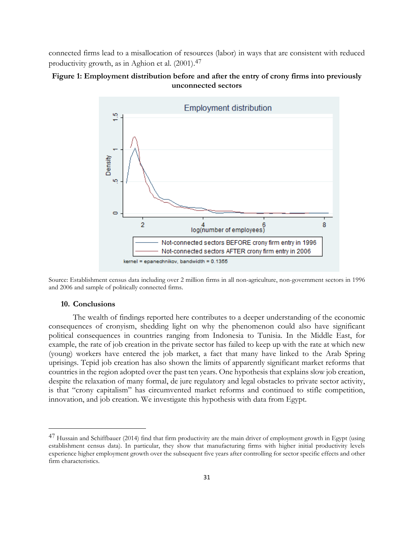connected firms lead to a misallocation of resources (labor) in ways that are consistent with reduced productivity growth, as in Aghion et al. (2001).47

#### **Figure 1: Employment distribution before and after the entry of crony firms into previously unconnected sectors**



Source: Establishment census data including over 2 million firms in all non-agriculture, non-government sectors in 1996 and 2006 and sample of politically connected firms.

#### **10. Conclusions**

 $\overline{a}$ 

The wealth of findings reported here contributes to a deeper understanding of the economic consequences of cronyism, shedding light on why the phenomenon could also have significant political consequences in countries ranging from Indonesia to Tunisia. In the Middle East, for example, the rate of job creation in the private sector has failed to keep up with the rate at which new (young) workers have entered the job market, a fact that many have linked to the Arab Spring uprisings. Tepid job creation has also shown the limits of apparently significant market reforms that countries in the region adopted over the past ten years. One hypothesis that explains slow job creation, despite the relaxation of many formal, de jure regulatory and legal obstacles to private sector activity, is that "crony capitalism" has circumvented market reforms and continued to stifle competition, innovation, and job creation. We investigate this hypothesis with data from Egypt.

<sup>47</sup> Hussain and Schiffbauer (2014) find that firm productivity are the main driver of employment growth in Egypt (using establishment census data). In particular, they show that manufacturing firms with higher initial productivity levels experience higher employment growth over the subsequent five years after controlling for sector specific effects and other firm characteristics.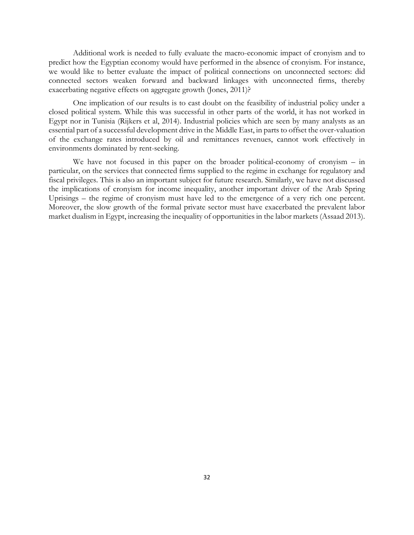Additional work is needed to fully evaluate the macro-economic impact of cronyism and to predict how the Egyptian economy would have performed in the absence of cronyism. For instance, we would like to better evaluate the impact of political connections on unconnected sectors: did connected sectors weaken forward and backward linkages with unconnected firms, thereby exacerbating negative effects on aggregate growth (Jones, 2011)?

One implication of our results is to cast doubt on the feasibility of industrial policy under a closed political system. While this was successful in other parts of the world, it has not worked in Egypt nor in Tunisia (Rijkers et al, 2014). Industrial policies which are seen by many analysts as an essential part of a successful development drive in the Middle East, in parts to offset the over-valuation of the exchange rates introduced by oil and remittances revenues, cannot work effectively in environments dominated by rent-seeking.

We have not focused in this paper on the broader political-economy of cronyism – in particular, on the services that connected firms supplied to the regime in exchange for regulatory and fiscal privileges. This is also an important subject for future research. Similarly, we have not discussed the implications of cronyism for income inequality, another important driver of the Arab Spring Uprisings – the regime of cronyism must have led to the emergence of a very rich one percent. Moreover, the slow growth of the formal private sector must have exacerbated the prevalent labor market dualism in Egypt, increasing the inequality of opportunities in the labor markets (Assaad 2013).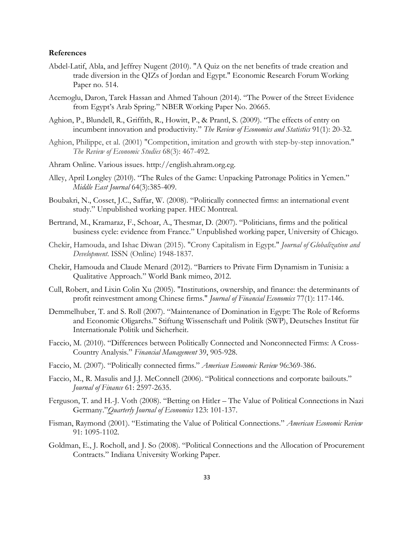#### **References**

- Abdel-Latif, Abla, and Jeffrey Nugent (2010). "A Quiz on the net benefits of trade creation and trade diversion in the QIZs of Jordan and Egypt." Economic Research Forum Working Paper no. 514.
- Acemoglu, Daron, Tarek Hassan and Ahmed Tahoun (2014). "The Power of the Street Evidence from Egypt's Arab Spring." NBER Working Paper No. 20665.
- Aghion, P., Blundell, R., Griffith, R., Howitt, P., & Prantl, S. (2009). "The effects of entry on incumbent innovation and productivity." *The Review of Economics and Statistics* 91(1): 20-32.
- Aghion, Philippe, et al. (2001) "Competition, imitation and growth with step-by-step innovation." *The Review of Economic Studies* 68(3): 467-492.
- Ahram Online. Various issues. http://english.ahram.org.eg.
- Alley, April Longley (2010). "The Rules of the Game: Unpacking Patronage Politics in Yemen." *Middle East Journal* 64(3):385-409.
- Boubakri, N., Cosset, J.C., Saffar, W. (2008). "Politically connected firms: an international event study." Unpublished working paper. HEC Montreal.
- Bertrand, M., Kramaraz, F., Schoar, A., Thesmar, D. (2007). "Politicians, firms and the political business cycle: evidence from France." Unpublished working paper, University of Chicago.
- Chekir, Hamouda, and Ishac Diwan (2015). "Crony Capitalism in Egypt." *Journal of Globalization and Development*. ISSN (Online) 1948-1837.
- Chekir, Hamouda and Claude Menard (2012). "Barriers to Private Firm Dynamism in Tunisia: a Qualitative Approach." World Bank mimeo, 2012.
- Cull, Robert, and Lixin Colin Xu (2005). "Institutions, ownership, and finance: the determinants of profit reinvestment among Chinese firms." *Journal of Financial Economics* 77(1): 117-146.
- Demmelhuber, T. and S. Roll (2007). "Maintenance of Domination in Egypt: The Role of Reforms and Economic Oligarchs." Stiftung Wissenschaft und Politik (SWP), Deutsches Institut für Internationale Politik und Sicherheit.
- Faccio, M. (2010). "Differences between Politically Connected and Nonconnected Firms: A Cross-Country Analysis." *Financial Management* 39, 905-928.
- Faccio, M. (2007). "Politically connected firms." *American Economic Review* 96:369-386.
- Faccio, M., R. Masulis and J.J. McConnell (2006). "Political connections and corporate bailouts." *Journal of Finance* 61: 2597-2635.
- Ferguson, T. and H.-J. Voth (2008). "Betting on Hitler The Value of Political Connections in Nazi Germany."*Quarterly Journal of Economics* 123: 101-137.
- Fisman, Raymond (2001). "Estimating the Value of Political Connections." *American Economic Review*  91: 1095-1102.
- Goldman, E., J. Rocholl, and J. So (2008). "Political Connections and the Allocation of Procurement Contracts." Indiana University Working Paper.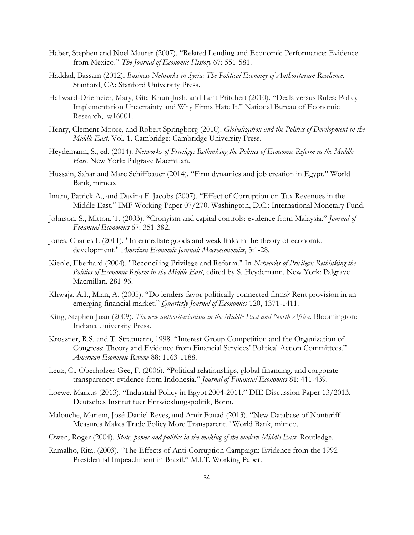- Haber, Stephen and Noel Maurer (2007). "Related Lending and Economic Performance: Evidence from Mexico." *The Journal of Economic History* 67: 551-581.
- Haddad, Bassam (2012). *Business Networks in Syria: The Political Economy of Authoritarian Resilience*. Stanford, CA: Stanford University Press.
- Hallward-Driemeier, Mary, Gita Khun-Jush, and Lant Pritchett (2010). "Deals versus Rules: Policy Implementation Uncertainty and Why Firms Hate It." National Bureau of Economic Research,. w16001.
- Henry, Clement Moore, and Robert Springborg (2010). *Globalization and the Politics of Development in the Middle East*. Vol. 1. Cambridge: Cambridge University Press.
- Heydemann, S., ed. (2014). *Networks of Privilege: Rethinking the Politics of Economic Reform in the Middle East*. New York: Palgrave Macmillan.
- Hussain, Sahar and Marc Schiffbauer (2014). "Firm dynamics and job creation in Egypt." World Bank, mimeo.
- Imam, Patrick A., and Davina F. Jacobs (2007). "Effect of Corruption on Tax Revenues in the Middle East." IMF Working Paper 07/270. Washington, D.C.: International Monetary Fund.
- Johnson, S., Mitton, T. (2003). "Cronyism and capital controls: evidence from Malaysia." *Journal of Financial Economics* 67: 351-382.
- Jones, Charles I. (2011). "Intermediate goods and weak links in the theory of economic development." *American Economic Journal: Macroeconomics*, 3:1-28.
- Kienle, Eberhard (2004). "Reconciling Privilege and Reform." In *Networks of Privilege: Rethinking the Politics of Economic Reform in the Middle East*, edited by S. Heydemann. New York: Palgrave Macmillan. 281-96.
- Khwaja, A.I., Mian, A. (2005). "Do lenders favor politically connected firms? Rent provision in an emerging financial market." *Quarterly Journal of Economics* 120, 1371-1411.
- King, Stephen Juan (2009). *The new authoritarianism in the Middle East and North Africa*. Bloomington: Indiana University Press.
- Kroszner, R.S. and T. Stratmann, 1998. "Interest Group Competition and the Organization of Congress: Theory and Evidence from Financial Services' Political Action Committees." *American Economic Review* 88: 1163-1188.
- Leuz, C., Oberholzer-Gee, F. (2006). "Political relationships, global financing, and corporate transparency: evidence from Indonesia." *Journal of Financial Economics* 81: 411-439.
- Loewe, Markus (2013). "Industrial Policy in Egypt 2004-2011." DIE Discussion Paper 13/2013, Deutsches Institut fuer Entwicklungspolitik, Bonn.
- Malouche, Mariem, José-Daniel Reyes, and Amir Fouad (2013). "New Database of Nontariff Measures Makes Trade Policy More Transparent*."* World Bank, mimeo.
- Owen, Roger (2004). *State, power and politics in the making of the modern Middle East*. Routledge.
- Ramalho, Rita. (2003). "The Effects of Anti-Corruption Campaign: Evidence from the 1992 Presidential Impeachment in Brazil." M.I.T. Working Paper.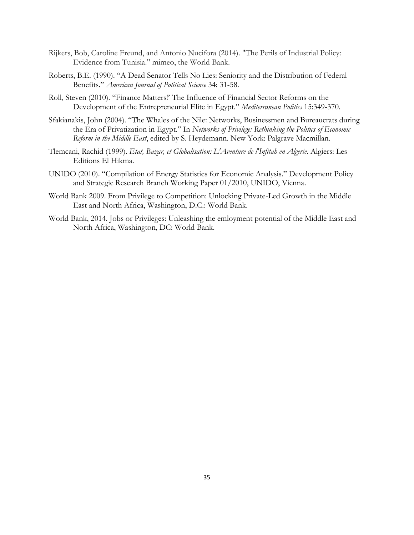- Rijkers, Bob, Caroline Freund, and Antonio Nucifora (2014). "The Perils of Industrial Policy: Evidence from Tunisia." mimeo, the World Bank.
- Roberts, B.E. (1990). "A Dead Senator Tells No Lies: Seniority and the Distribution of Federal Benefits." *American Journal of Political Science* 34: 31-58.
- Roll, Steven (2010). "Finance Matters!' The Influence of Financial Sector Reforms on the Development of the Entrepreneurial Elite in Egypt." *Mediterranean Politics* 15:349-370.
- Sfakianakis, John (2004). "The Whales of the Nile: Networks, Businessmen and Bureaucrats during the Era of Privatization in Egypt." In *Networks of Privilege: Rethinking the Politics of Economic Reform in the Middle East*, edited by S. Heydemann. New York: Palgrave Macmillan.
- Tlemcani, Rachid (1999). *Etat, Bazar, et Globalisation: L'Aventure de l'Infitah en Algerie*. Algiers: Les Editions El Hikma.
- UNIDO (2010). "Compilation of Energy Statistics for Economic Analysis." Development Policy and Strategic Research Branch Working Paper 01/2010, UNIDO, Vienna.
- World Bank 2009. From Privilege to Competition: Unlocking Private-Led Growth in the Middle East and North Africa, Washington, D.C.: World Bank.
- World Bank, 2014. Jobs or Privileges: Unleashing the emloyment potential of the Middle East and North Africa, Washington, DC: World Bank.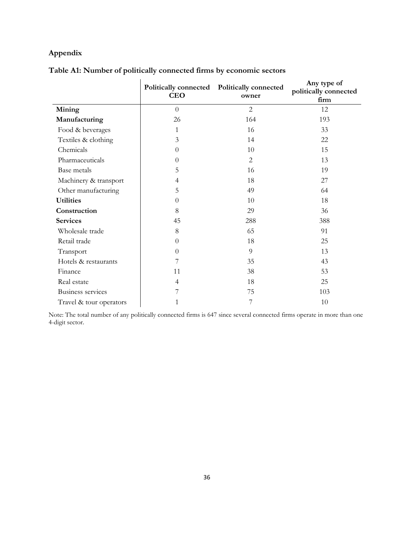# **Appendix**

| Table A1: Number of politically connected firms by economic sectors |  |  |
|---------------------------------------------------------------------|--|--|
|                                                                     |  |  |

|                         | <b>CEO</b>       | Politically connected Politically connected<br>owner | Any type of<br>politically connected<br>firm |
|-------------------------|------------------|------------------------------------------------------|----------------------------------------------|
| Mining                  | $\theta$         | $\overline{2}$                                       | 12                                           |
| Manufacturing           | 26               | 164                                                  | 193                                          |
| Food & beverages        | $\mathbf{1}$     | 16                                                   | 33                                           |
| Textiles & clothing     | 3                | 14                                                   | 22                                           |
| Chemicals               | $\theta$         | 10                                                   | 15                                           |
| Pharmaceuticals         | $\theta$         | $\overline{2}$                                       | 13                                           |
| Base metals             | 5                | 16                                                   | 19                                           |
| Machinery & transport   | 4                | 18                                                   | 27                                           |
| Other manufacturing     | 5                | 49                                                   | 64                                           |
| <b>Utilities</b>        | $\theta$         | 10                                                   | 18                                           |
| Construction            | 8                | 29                                                   | 36                                           |
| <b>Services</b>         | 45               | 288                                                  | 388                                          |
| Wholesale trade         | 8                | 65                                                   | 91                                           |
| Retail trade            | $\boldsymbol{0}$ | 18                                                   | 25                                           |
| Transport               | $\Omega$         | 9                                                    | 13                                           |
| Hotels & restaurants    | 7                | 35                                                   | 43                                           |
| Finance                 | 11               | 38                                                   | 53                                           |
| Real estate             | 4                | 18                                                   | 25                                           |
| Business services       | 7                | 75                                                   | 103                                          |
| Travel & tour operators | 1                | 7                                                    | 10                                           |

Note: The total number of any politically connected firms is 647 since several connected firms operate in more than one 4-digit sector.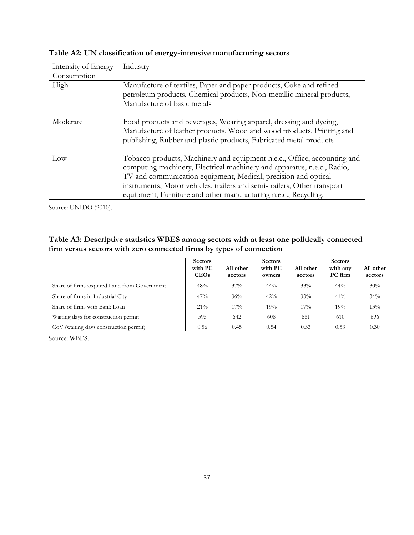| Intensity of Energy | Industry                                                                                                                                                                                                                                                                                                                                                             |
|---------------------|----------------------------------------------------------------------------------------------------------------------------------------------------------------------------------------------------------------------------------------------------------------------------------------------------------------------------------------------------------------------|
| Consumption         |                                                                                                                                                                                                                                                                                                                                                                      |
| High                | Manufacture of textiles, Paper and paper products, Coke and refined<br>petroleum products, Chemical products, Non-metallic mineral products,<br>Manufacture of basic metals                                                                                                                                                                                          |
| Moderate            | Food products and beverages, Wearing apparel, dressing and dyeing,<br>Manufacture of leather products, Wood and wood products, Printing and<br>publishing, Rubber and plastic products, Fabricated metal products                                                                                                                                                    |
| Low                 | Tobacco products, Machinery and equipment n.e.c., Office, accounting and<br>computing machinery, Electrical machinery and apparatus, n.e.c., Radio,<br>TV and communication equipment, Medical, precision and optical<br>instruments, Motor vehicles, trailers and semi-trailers, Other transport<br>equipment, Furniture and other manufacturing n.e.c., Recycling. |

**Table A2: UN classification of energy-intensive manufacturing sectors**

Source: UNIDO (2010).

# **Table A3: Descriptive statistics WBES among sectors with at least one politically connected firm versus sectors with zero connected firms by types of connection**

|                                              | <b>Sectors</b><br>with PC<br>CEOs | All other<br>sectors | <b>Sectors</b><br>with PC<br>owners | All other<br>sectors | <b>Sectors</b><br>with any<br>PC firm | All other<br>sectors |
|----------------------------------------------|-----------------------------------|----------------------|-------------------------------------|----------------------|---------------------------------------|----------------------|
| Share of firms acquired Land from Government | 48%                               | 37%                  | $44\%$                              | 33%                  | $44\%$                                | 30%                  |
| Share of firms in Industrial City            | 47%                               | 36%                  | 42%                                 | 33%                  | 41%                                   | 34%                  |
| Share of firms with Bank Loan                | $21\%$                            | 17%                  | 19%                                 | 17%                  | 19%                                   | 13%                  |
| Waiting days for construction permit         | 595                               | 642                  | 608                                 | 681                  | 610                                   | 696                  |
| CoV (waiting days construction permit)       | 0.56                              | 0.45                 | 0.54                                | 0.33                 | 0.53                                  | 0.30                 |

Source: WBES.